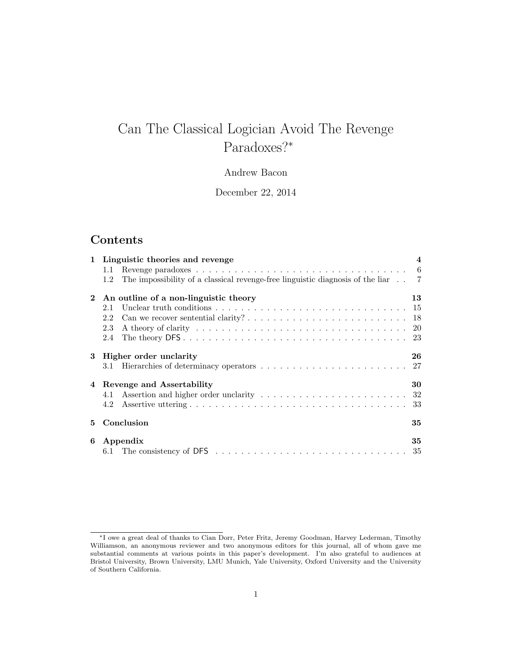# Can The Classical Logician Avoid The Revenge Paradoxes?<sup>∗</sup>

## Andrew Bacon

December 22, 2014

# Contents

| $\mathbf{1}$   | Linguistic theories and revenge                                                                                   |      |
|----------------|-------------------------------------------------------------------------------------------------------------------|------|
|                | 1.1                                                                                                               | $-6$ |
|                | The impossibility of a classical revenge-free linguistic diagnosis of the liar 7<br>1.2                           |      |
| $\mathbf{2}^-$ | An outline of a non-linguistic theory                                                                             | 13   |
|                | Unclear truth conditions $\ldots \ldots \ldots \ldots \ldots \ldots \ldots \ldots \ldots \ldots \ldots 15$<br>2.1 |      |
|                | 2.2                                                                                                               |      |
|                | 2.3                                                                                                               |      |
|                | 2.4                                                                                                               |      |
| 3              | Higher order unclarity                                                                                            | 26   |
|                | 3.1                                                                                                               |      |
|                | 4 Revenge and Assertability                                                                                       | 30   |
|                | 4.1                                                                                                               |      |
|                | 4.2                                                                                                               | -33  |
| 5.             | Conclusion                                                                                                        | 35   |
|                | 6 Appendix                                                                                                        | 35   |
|                |                                                                                                                   |      |

<sup>∗</sup>I owe a great deal of thanks to Cian Dorr, Peter Fritz, Jeremy Goodman, Harvey Lederman, Timothy Williamson, an anonymous reviewer and two anonymous editors for this journal, all of whom gave me substantial comments at various points in this paper's development. I'm also grateful to audiences at Bristol University, Brown University, LMU Munich, Yale University, Oxford University and the University of Southern California.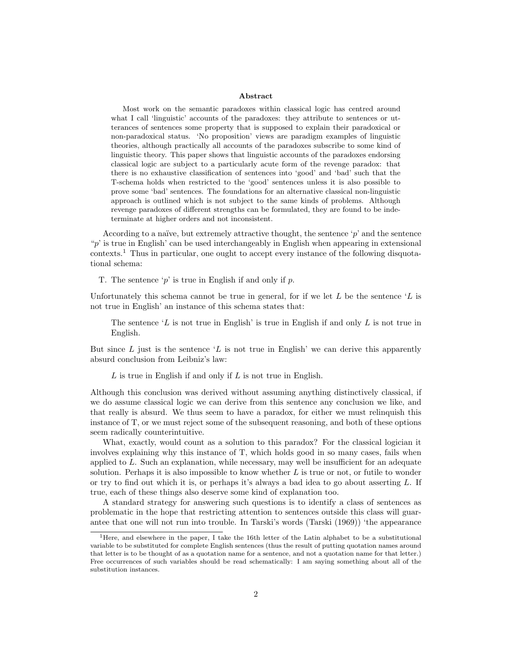### Abstract

Most work on the semantic paradoxes within classical logic has centred around what I call 'linguistic' accounts of the paradoxes: they attribute to sentences or utterances of sentences some property that is supposed to explain their paradoxical or non-paradoxical status. 'No proposition' views are paradigm examples of linguistic theories, although practically all accounts of the paradoxes subscribe to some kind of linguistic theory. This paper shows that linguistic accounts of the paradoxes endorsing classical logic are subject to a particularly acute form of the revenge paradox: that there is no exhaustive classification of sentences into 'good' and 'bad' such that the T-schema holds when restricted to the 'good' sentences unless it is also possible to prove some 'bad' sentences. The foundations for an alternative classical non-linguistic approach is outlined which is not subject to the same kinds of problems. Although revenge paradoxes of different strengths can be formulated, they are found to be indeterminate at higher orders and not inconsistent.

According to a naïve, but extremely attractive thought, the sentence  $\hat{p}$  and the sentence "p' is true in English' can be used interchangeably in English when appearing in extensional contexts.<sup>1</sup> Thus in particular, one ought to accept every instance of the following disquotational schema:

T. The sentence 'p' is true in English if and only if  $p$ .

Unfortunately this schema cannot be true in general, for if we let  $L$  be the sentence  $L$  is not true in English' an instance of this schema states that:

The sentence 'L is not true in English' is true in English if and only L is not true in English.

But since  $L$  just is the sentence  $L$  is not true in English' we can derive this apparently absurd conclusion from Leibniz's law:

 $L$  is true in English if and only if  $L$  is not true in English.

Although this conclusion was derived without assuming anything distinctively classical, if we do assume classical logic we can derive from this sentence any conclusion we like, and that really is absurd. We thus seem to have a paradox, for either we must relinquish this instance of T, or we must reject some of the subsequent reasoning, and both of these options seem radically counterintuitive.

What, exactly, would count as a solution to this paradox? For the classical logician it involves explaining why this instance of T, which holds good in so many cases, fails when applied to L. Such an explanation, while necessary, may well be insufficient for an adequate solution. Perhaps it is also impossible to know whether  $L$  is true or not, or futile to wonder or try to find out which it is, or perhaps it's always a bad idea to go about asserting L. If true, each of these things also deserve some kind of explanation too.

A standard strategy for answering such questions is to identify a class of sentences as problematic in the hope that restricting attention to sentences outside this class will guarantee that one will not run into trouble. In Tarski's words (Tarski (1969)) 'the appearance

<sup>&</sup>lt;sup>1</sup>Here, and elsewhere in the paper, I take the 16th letter of the Latin alphabet to be a substitutional variable to be substituted for complete English sentences (thus the result of putting quotation names around that letter is to be thought of as a quotation name for a sentence, and not a quotation name for that letter.) Free occurrences of such variables should be read schematically: I am saying something about all of the substitution instances.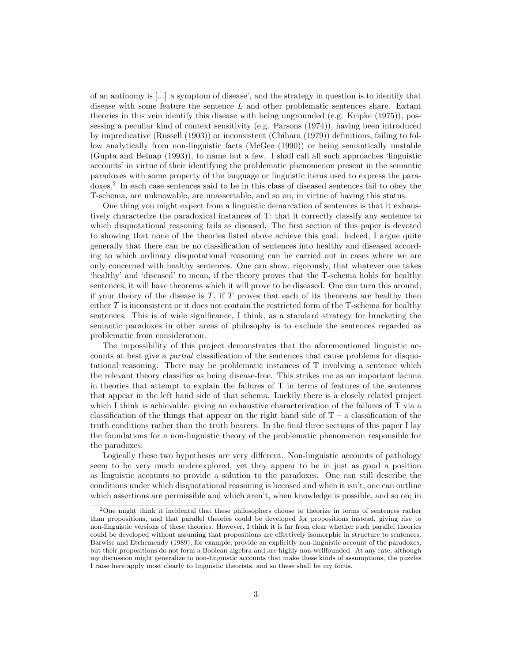of an antinomy is [...] a symptom of disease', and the strategy in question is to identify that disease with some feature the sentence L and other problematic sentences share. Extant theories in this vein identify this disease with being ungrounded (e.g. Kripke (1975)), possessing a peculiar kind of context sensitivity (e.g. Parsons (1974)), having been introduced by impredicative (Russell (1903)) or inconsistent (Chihara (1979)) definitions, failing to follow analytically from non-linguistic facts (McGee (1990)) or being semantically unstable (Gupta and Belnap (1993)), to name but a few. I shall call all such approaches 'linguistic accounts' in virtue of their identifying the problematic phenomenon present in the semantic paradoxes with some property of the language or linguistic items used to express the paradoxes.<sup>2</sup> In each case sentences said to be in this class of diseased sentences fail to obey the T-schema, are unknowable, are unassertable, and so on, in virtue of having this status.

One thing you might expect from a linguistic demarcation of sentences is that it exhaustively characterize the paradoxical instances of T: that it correctly classify any sentence to which disquotational reasoning fails as diseased. The first section of this paper is devoted to showing that none of the theories listed above achieve this goal. Indeed, I argue quite generally that there can be no classification of sentences into healthy and diseased according to which ordinary disquotational reasoning can be carried out in cases where we are only concerned with healthy sentences. One can show, rigorously, that whatever one takes 'healthy' and 'diseased' to mean, if the theory proves that the T-schema holds for healthy sentences, it will have theorems which it will prove to be diseased. One can turn this around; if your theory of the disease is  $T$ , if  $T$  proves that each of its theorems are healthy then either  $T$  is inconsistent or it does not contain the restricted form of the T-schema for healthy sentences. This is of wide significance, I think, as a standard strategy for bracketing the semantic paradoxes in other areas of philosophy is to exclude the sentences regarded as problematic from consideration.

The impossibility of this project demonstrates that the aforementioned linguistic accounts at best give a *partial* classification of the sentences that cause problems for disquotational reasoning. There may be problematic instances of T involving a sentence which the relevant theory classifies as being disease-free. This strikes me as an important lacuna in theories that attempt to explain the failures of T in terms of features of the sentences that appear in the left hand side of that schema. Luckily there is a closely related project which I think is achievable: giving an exhaustive characterization of the failures of T via a classification of the things that appear on the right hand side of  $T - a$  classification of the truth conditions rather than the truth bearers. In the final three sections of this paper I lay the foundations for a non-linguistic theory of the problematic phenomenon responsible for the paradoxes.

Logically these two hypotheses are very different. Non-linguistic accounts of pathology seem to be very much underexplored, yet they appear to be in just as good a position as linguistic accounts to provide a solution to the paradoxes. One can still describe the conditions under which disquotational reasoning is licensed and when it isn't, one can outline which assertions are permissible and which aren't, when knowledge is possible, and so on; in

<sup>2</sup>One might think it incidental that these philosophers choose to theorize in terms of sentences rather than propositions, and that parallel theories could be developed for propositions instead, giving rise to non-linguistic versions of these theories. However, I think it is far from clear whether such parallel theories could be developed without assuming that propositions are effectively isomorphic in structure to sentences. Barwise and Etchemendy (1989), for example, provide an explicitly non-linguistic account of the paradoxes, but their propositions do not form a Boolean algebra and are highly non-wellfounded. At any rate, although my discussion might generalize to non-linguistic accounts that make these kinds of assumptions, the puzzles I raise here apply most clearly to linguistic theorists, and so these shall be my focus.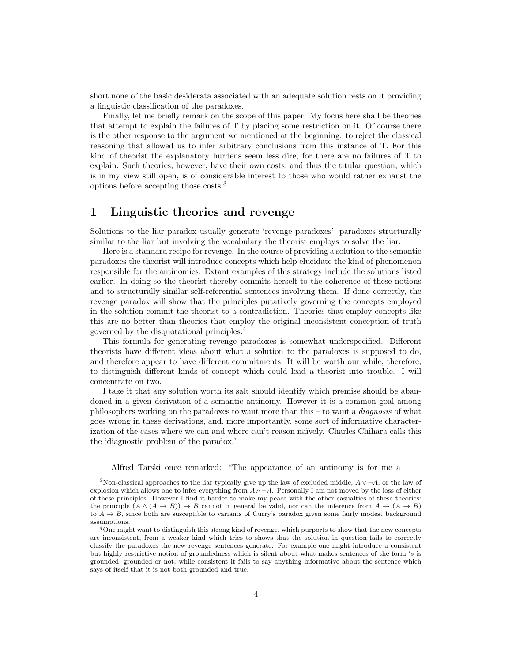short none of the basic desiderata associated with an adequate solution rests on it providing a linguistic classification of the paradoxes.

Finally, let me briefly remark on the scope of this paper. My focus here shall be theories that attempt to explain the failures of T by placing some restriction on it. Of course there is the other response to the argument we mentioned at the beginning: to reject the classical reasoning that allowed us to infer arbitrary conclusions from this instance of T. For this kind of theorist the explanatory burdens seem less dire, for there are no failures of T to explain. Such theories, however, have their own costs, and thus the titular question, which is in my view still open, is of considerable interest to those who would rather exhaust the options before accepting those costs.<sup>3</sup>

# 1 Linguistic theories and revenge

Solutions to the liar paradox usually generate 'revenge paradoxes'; paradoxes structurally similar to the liar but involving the vocabulary the theorist employs to solve the liar.

Here is a standard recipe for revenge. In the course of providing a solution to the semantic paradoxes the theorist will introduce concepts which help elucidate the kind of phenomenon responsible for the antinomies. Extant examples of this strategy include the solutions listed earlier. In doing so the theorist thereby commits herself to the coherence of these notions and to structurally similar self-referential sentences involving them. If done correctly, the revenge paradox will show that the principles putatively governing the concepts employed in the solution commit the theorist to a contradiction. Theories that employ concepts like this are no better than theories that employ the original inconsistent conception of truth governed by the disquotational principles.<sup>4</sup>

This formula for generating revenge paradoxes is somewhat underspecified. Different theorists have different ideas about what a solution to the paradoxes is supposed to do, and therefore appear to have different commitments. It will be worth our while, therefore, to distinguish different kinds of concept which could lead a theorist into trouble. I will concentrate on two.

I take it that any solution worth its salt should identify which premise should be abandoned in a given derivation of a semantic antinomy. However it is a common goal among philosophers working on the paradoxes to want more than this  $-$  to want a *diagnosis* of what goes wrong in these derivations, and, more importantly, some sort of informative characterization of the cases where we can and where can't reason naïvely. Charles Chihara calls this the 'diagnostic problem of the paradox.'

Alfred Tarski once remarked: "The appearance of an antinomy is for me a

<sup>&</sup>lt;sup>3</sup>Non-classical approaches to the liar typically give up the law of excluded middle,  $A \vee \neg A$ , or the law of explosion which allows one to infer everything from  $A \land \neg A$ . Personally I am not moved by the loss of either of these principles. However I find it harder to make my peace with the other casualties of these theories: the principle  $(A \land (A \to B)) \to B$  cannot in general be valid, nor can the inference from  $A \to (A \to B)$ to  $A \rightarrow B$ , since both are susceptible to variants of Curry's paradox given some fairly modest background assumptions.

 $^{4}$ One might want to distinguish this strong kind of revenge, which purports to show that the new concepts are inconsistent, from a weaker kind which tries to shows that the solution in question fails to correctly classify the paradoxes the new revenge sentences generate. For example one might introduce a consistent but highly restrictive notion of groundedness which is silent about what makes sentences of the form 's is grounded' grounded or not; while consistent it fails to say anything informative about the sentence which says of itself that it is not both grounded and true.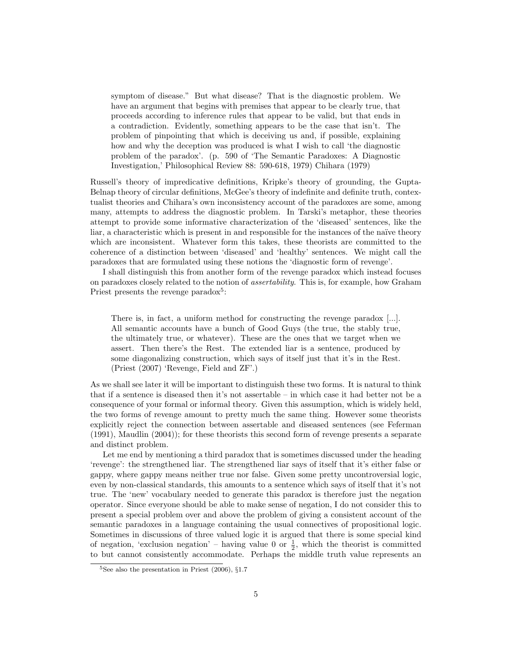symptom of disease." But what disease? That is the diagnostic problem. We have an argument that begins with premises that appear to be clearly true, that proceeds according to inference rules that appear to be valid, but that ends in a contradiction. Evidently, something appears to be the case that isn't. The problem of pinpointing that which is deceiving us and, if possible, explaining how and why the deception was produced is what I wish to call 'the diagnostic problem of the paradox'. (p. 590 of 'The Semantic Paradoxes: A Diagnostic Investigation,' Philosophical Review 88: 590-618, 1979) Chihara (1979)

Russell's theory of impredicative definitions, Kripke's theory of grounding, the Gupta-Belnap theory of circular definitions, McGee's theory of indefinite and definite truth, contextualist theories and Chihara's own inconsistency account of the paradoxes are some, among many, attempts to address the diagnostic problem. In Tarski's metaphor, these theories attempt to provide some informative characterization of the 'diseased' sentences, like the liar, a characteristic which is present in and responsible for the instances of the naïve theory which are inconsistent. Whatever form this takes, these theorists are committed to the coherence of a distinction between 'diseased' and 'healthy' sentences. We might call the paradoxes that are formulated using these notions the 'diagnostic form of revenge'.

I shall distinguish this from another form of the revenge paradox which instead focuses on paradoxes closely related to the notion of assertability. This is, for example, how Graham Priest presents the revenge paradox<sup>5</sup>:

There is, in fact, a uniform method for constructing the revenge paradox [...]. All semantic accounts have a bunch of Good Guys (the true, the stably true, the ultimately true, or whatever). These are the ones that we target when we assert. Then there's the Rest. The extended liar is a sentence, produced by some diagonalizing construction, which says of itself just that it's in the Rest. (Priest (2007) 'Revenge, Field and ZF'.)

As we shall see later it will be important to distinguish these two forms. It is natural to think that if a sentence is diseased then it's not assertable – in which case it had better not be a consequence of your formal or informal theory. Given this assumption, which is widely held, the two forms of revenge amount to pretty much the same thing. However some theorists explicitly reject the connection between assertable and diseased sentences (see Feferman (1991), Maudlin (2004)); for these theorists this second form of revenge presents a separate and distinct problem.

Let me end by mentioning a third paradox that is sometimes discussed under the heading 'revenge': the strengthened liar. The strengthened liar says of itself that it's either false or gappy, where gappy means neither true nor false. Given some pretty uncontroversial logic, even by non-classical standards, this amounts to a sentence which says of itself that it's not true. The 'new' vocabulary needed to generate this paradox is therefore just the negation operator. Since everyone should be able to make sense of negation, I do not consider this to present a special problem over and above the problem of giving a consistent account of the semantic paradoxes in a language containing the usual connectives of propositional logic. Sometimes in discussions of three valued logic it is argued that there is some special kind of negation, 'exclusion negation' – having value 0 or  $\frac{1}{2}$ , which the theorist is committed to but cannot consistently accommodate. Perhaps the middle truth value represents an

<sup>&</sup>lt;sup>5</sup>See also the presentation in Priest  $(2006)$ ,  $\S1.7$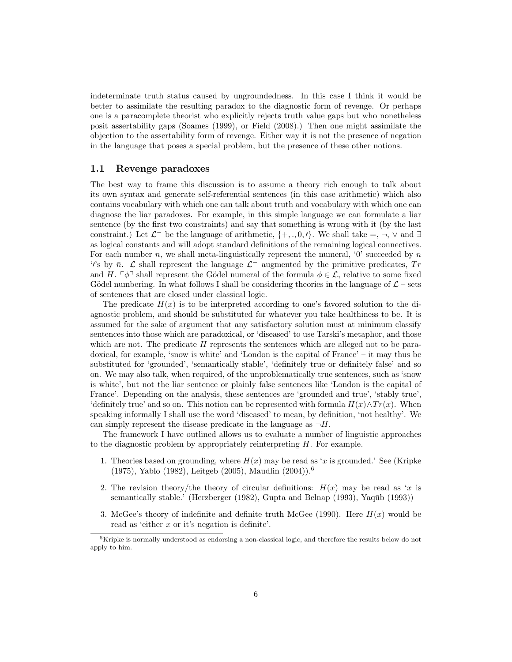indeterminate truth status caused by ungroundedness. In this case I think it would be better to assimilate the resulting paradox to the diagnostic form of revenge. Or perhaps one is a paracomplete theorist who explicitly rejects truth value gaps but who nonetheless posit assertability gaps (Soames (1999), or Field (2008).) Then one might assimilate the objection to the assertability form of revenge. Either way it is not the presence of negation in the language that poses a special problem, but the presence of these other notions.

### 1.1 Revenge paradoxes

The best way to frame this discussion is to assume a theory rich enough to talk about its own syntax and generate self-referential sentences (in this case arithmetic) which also contains vocabulary with which one can talk about truth and vocabulary with which one can diagnose the liar paradoxes. For example, in this simple language we can formulate a liar sentence (by the first two constraints) and say that something is wrong with it (by the last constraint.) Let  $\mathcal{L}^-$  be the language of arithmetic,  $\{+,.,0,\prime\}$ . We shall take =, ¬,  $\vee$  and  $\exists$ as logical constants and will adopt standard definitions of the remaining logical connectives. For each number n, we shall meta-linguistically represent the numeral, '0' succeeded by  $n$ ''s by  $\bar{n}$ .  $\mathcal{L}$  shall represent the language  $\mathcal{L}^-$  augmented by the primitive predicates,  $Tr$ and H.  $\lceil \phi \rceil$  shall represent the Gödel numeral of the formula  $\phi \in \mathcal{L}$ , relative to some fixed Gödel numbering. In what follows I shall be considering theories in the language of  $\mathcal{L}$  – sets of sentences that are closed under classical logic.

The predicate  $H(x)$  is to be interpreted according to one's favored solution to the diagnostic problem, and should be substituted for whatever you take healthiness to be. It is assumed for the sake of argument that any satisfactory solution must at minimum classify sentences into those which are paradoxical, or 'diseased' to use Tarski's metaphor, and those which are not. The predicate  $H$  represents the sentences which are alleged not to be paradoxical, for example, 'snow is white' and 'London is the capital of France' – it may thus be substituted for 'grounded', 'semantically stable', 'definitely true or definitely false' and so on. We may also talk, when required, of the unproblematically true sentences, such as 'snow is white', but not the liar sentence or plainly false sentences like 'London is the capital of France'. Depending on the analysis, these sentences are 'grounded and true', 'stably true', 'definitely true' and so on. This notion can be represented with formula  $H(x) \wedge Tr(x)$ . When speaking informally I shall use the word 'diseased' to mean, by definition, 'not healthy'. We can simply represent the disease predicate in the language as  $\neg H$ .

The framework I have outlined allows us to evaluate a number of linguistic approaches to the diagnostic problem by appropriately reinterpreting H. For example.

- 1. Theories based on grounding, where  $H(x)$  may be read as 'x is grounded.' See (Kripke (1975), Yablo (1982), Leitgeb (2005), Maudlin (2004)).<sup>6</sup>
- 2. The revision theory/the theory of circular definitions:  $H(x)$  may be read as 'x is semantically stable.' (Herzberger (1982), Gupta and Belnap (1993), Yaqūb (1993))
- 3. McGee's theory of indefinite and definite truth McGee (1990). Here  $H(x)$  would be read as 'either x or it's negation is definite'.

<sup>6</sup>Kripke is normally understood as endorsing a non-classical logic, and therefore the results below do not apply to him.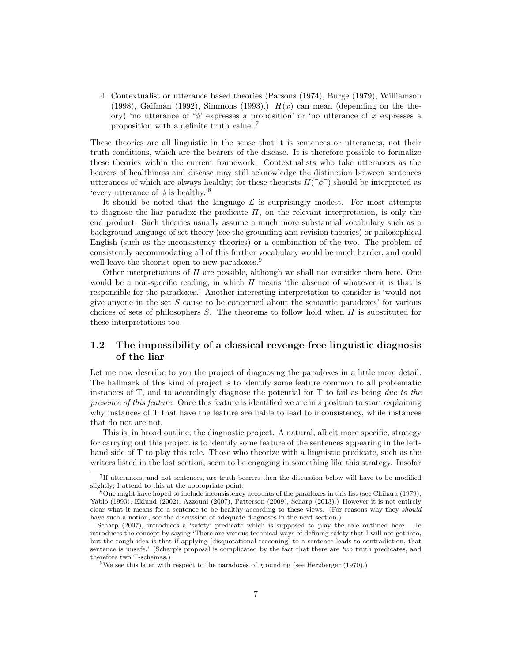4. Contextualist or utterance based theories (Parsons (1974), Burge (1979), Williamson (1998), Gaifman (1992), Simmons (1993).)  $H(x)$  can mean (depending on the theory) 'no utterance of ' $\phi$ ' expresses a proposition' or 'no utterance of x expresses a proposition with a definite truth value'.<sup>7</sup>

These theories are all linguistic in the sense that it is sentences or utterances, not their truth conditions, which are the bearers of the disease. It is therefore possible to formalize these theories within the current framework. Contextualists who take utterances as the bearers of healthiness and disease may still acknowledge the distinction between sentences utterances of which are always healthy; for these theorists  $H(\ulcorner \phi \urcorner)$  should be interpreted as 'every utterance of  $\phi$  is healthy.'<sup>8</sup>

It should be noted that the language  $\mathcal L$  is surprisingly modest. For most attempts to diagnose the liar paradox the predicate  $H$ , on the relevant interpretation, is only the end product. Such theories usually assume a much more substantial vocabulary such as a background language of set theory (see the grounding and revision theories) or philosophical English (such as the inconsistency theories) or a combination of the two. The problem of consistently accommodating all of this further vocabulary would be much harder, and could well leave the theorist open to new paradoxes.<sup>9</sup>

Other interpretations of H are possible, although we shall not consider them here. One would be a non-specific reading, in which  $H$  means 'the absence of whatever it is that is responsible for the paradoxes.' Another interesting interpretation to consider is 'would not give anyone in the set  $S$  cause to be concerned about the semantic paradoxes' for various choices of sets of philosophers  $S$ . The theorems to follow hold when  $H$  is substituted for these interpretations too.

### 1.2 The impossibility of a classical revenge-free linguistic diagnosis of the liar

Let me now describe to you the project of diagnosing the paradoxes in a little more detail. The hallmark of this kind of project is to identify some feature common to all problematic instances of T, and to accordingly diagnose the potential for T to fail as being due to the presence of this feature. Once this feature is identified we are in a position to start explaining why instances of T that have the feature are liable to lead to inconsistency, while instances that do not are not.

This is, in broad outline, the diagnostic project. A natural, albeit more specific, strategy for carrying out this project is to identify some feature of the sentences appearing in the lefthand side of T to play this role. Those who theorize with a linguistic predicate, such as the writers listed in the last section, seem to be engaging in something like this strategy. Insofar

<sup>7</sup> If utterances, and not sentences, are truth bearers then the discussion below will have to be modified slightly; I attend to this at the appropriate point.

<sup>8</sup>One might have hoped to include inconsistency accounts of the paradoxes in this list (see Chihara (1979), Yablo (1993), Eklund (2002), Azzouni (2007), Patterson (2009), Scharp (2013).) However it is not entirely clear what it means for a sentence to be healthy according to these views. (For reasons why they should have such a notion, see the discussion of adequate diagnoses in the next section.)

Scharp (2007), introduces a 'safety' predicate which is supposed to play the role outlined here. He introduces the concept by saying 'There are various technical ways of defining safety that I will not get into, but the rough idea is that if applying [disquotational reasoning] to a sentence leads to contradiction, that sentence is unsafe.' (Scharp's proposal is complicated by the fact that there are two truth predicates, and therefore two T-schemas.)

<sup>9</sup>We see this later with respect to the paradoxes of grounding (see Herzberger (1970).)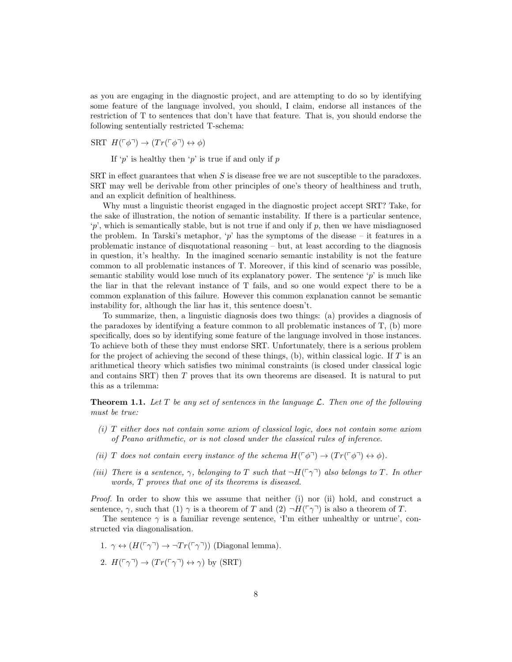as you are engaging in the diagnostic project, and are attempting to do so by identifying some feature of the language involved, you should, I claim, endorse all instances of the restriction of T to sentences that don't have that feature. That is, you should endorse the following sententially restricted T-schema:

SRT  $H(\ulcorner \phi \urcorner) \rightarrow (Tr(\ulcorner \phi \urcorner) \leftrightarrow \phi)$ 

If 'p' is healthy then 'p' is true if and only if p

SRT in effect guarantees that when S is disease free we are not susceptible to the paradoxes. SRT may well be derivable from other principles of one's theory of healthiness and truth, and an explicit definition of healthiness.

Why must a linguistic theorist engaged in the diagnostic project accept SRT? Take, for the sake of illustration, the notion of semantic instability. If there is a particular sentence,  $'p'$ , which is semantically stable, but is not true if and only if p, then we have misdiagnosed the problem. In Tarski's metaphor, 'p' has the symptoms of the disease – it features in a problematic instance of disquotational reasoning – but, at least according to the diagnosis in question, it's healthy. In the imagined scenario semantic instability is not the feature common to all problematic instances of T. Moreover, if this kind of scenario was possible, semantic stability would lose much of its explanatory power. The sentence 'p' is much like the liar in that the relevant instance of T fails, and so one would expect there to be a common explanation of this failure. However this common explanation cannot be semantic instability for, although the liar has it, this sentence doesn't.

To summarize, then, a linguistic diagnosis does two things: (a) provides a diagnosis of the paradoxes by identifying a feature common to all problematic instances of T, (b) more specifically, does so by identifying some feature of the language involved in those instances. To achieve both of these they must endorse SRT. Unfortunately, there is a serious problem for the project of achieving the second of these things,  $(b)$ , within classical logic. If T is an arithmetical theory which satisfies two minimal constraints (is closed under classical logic and contains SRT) then T proves that its own theorems are diseased. It is natural to put this as a trilemma:

**Theorem 1.1.** Let T be any set of sentences in the language  $\mathcal{L}$ . Then one of the following must be true:

- (i) T either does not contain some axiom of classical logic, does not contain some axiom of Peano arithmetic, or is not closed under the classical rules of inference.
- (ii) T does not contain every instance of the schema  $H(\ulcorner \phi \urcorner) \rightarrow (Tr(\ulcorner \phi \urcorner) \leftrightarrow \phi)$ .
- (iii) There is a sentence,  $\gamma$ , belonging to T such that  $\neg H(\ulcorner \gamma \urcorner)$  also belongs to T. In other words, T proves that one of its theorems is diseased.

Proof. In order to show this we assume that neither (i) nor (ii) hold, and construct a sentence,  $\gamma$ , such that (1)  $\gamma$  is a theorem of T and (2)  $\neg H(\ulcorner \gamma \urcorner)$  is also a theorem of T.

The sentence  $\gamma$  is a familiar revenge sentence, 'I'm either unhealthy or untrue', constructed via diagonalisation.

- 1.  $\gamma \leftrightarrow (H(\lceil \gamma \rceil) \rightarrow \lceil Tr(\lceil \gamma \rceil))$  (Diagonal lemma).
- 2.  $H(\lceil \gamma \rceil) \to (Tr(\lceil \gamma \rceil) \leftrightarrow \gamma)$  by (SRT)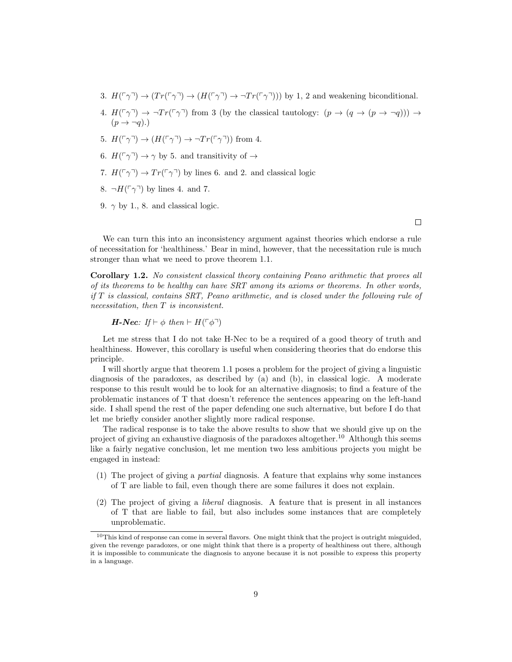- 3.  $H(\lceil \gamma \rceil) \to (Tr(\lceil \gamma \rceil) \to (H(\lceil \gamma \rceil) \to \neg Tr(\lceil \gamma \rceil)))$  by 1, 2 and weakening biconditional.
- 4.  $H(\ulcorner \gamma \urcorner) \rightarrow \ulcorner Tr(\ulcorner \gamma \urcorner)$  from 3 (by the classical tautology:  $(p \rightarrow (q \rightarrow (p \rightarrow \ulcorner q))) \rightarrow$  $(p \rightarrow \neg q)$ .)
- 5.  $H(\ulcorner \gamma \urcorner) \rightarrow (H(\ulcorner \gamma \urcorner) \rightarrow \lnot Tr(\ulcorner \gamma \urcorner))$  from 4.
- 6.  $H(\lceil \gamma \rceil) \to \gamma$  by 5. and transitivity of  $\to$
- 7.  $H(\lceil \gamma \rceil) \to Tr(\lceil \gamma \rceil)$  by lines 6. and 2. and classical logic
- 8.  $\neg H(\ulcorner \gamma \urcorner)$  by lines 4. and 7.
- 9.  $\gamma$  by 1., 8. and classical logic.

We can turn this into an inconsistency argument against theories which endorse a rule of necessitation for 'healthiness.' Bear in mind, however, that the necessitation rule is much stronger than what we need to prove theorem 1.1.

Corollary 1.2. No consistent classical theory containing Peano arithmetic that proves all of its theorems to be healthy can have SRT among its axioms or theorems. In other words, if T is classical, contains SRT, Peano arithmetic, and is closed under the following rule of necessitation, then T is inconsistent.

 $H\text{-}Nec: If \vdash \phi then \vdash H(\ulcorner\phi\urcorner)$ 

Let me stress that I do not take H-Nec to be a required of a good theory of truth and healthiness. However, this corollary is useful when considering theories that do endorse this principle.

I will shortly argue that theorem 1.1 poses a problem for the project of giving a linguistic diagnosis of the paradoxes, as described by (a) and (b), in classical logic. A moderate response to this result would be to look for an alternative diagnosis; to find a feature of the problematic instances of T that doesn't reference the sentences appearing on the left-hand side. I shall spend the rest of the paper defending one such alternative, but before I do that let me briefly consider another slightly more radical response.

The radical response is to take the above results to show that we should give up on the project of giving an exhaustive diagnosis of the paradoxes altogether.<sup>10</sup> Although this seems like a fairly negative conclusion, let me mention two less ambitious projects you might be engaged in instead:

- (1) The project of giving a partial diagnosis. A feature that explains why some instances of T are liable to fail, even though there are some failures it does not explain.
- (2) The project of giving a liberal diagnosis. A feature that is present in all instances of T that are liable to fail, but also includes some instances that are completely unproblematic.

 $\Box$ 

 $10$ This kind of response can come in several flavors. One might think that the project is outright misguided, given the revenge paradoxes, or one might think that there is a property of healthiness out there, although it is impossible to communicate the diagnosis to anyone because it is not possible to express this property in a language.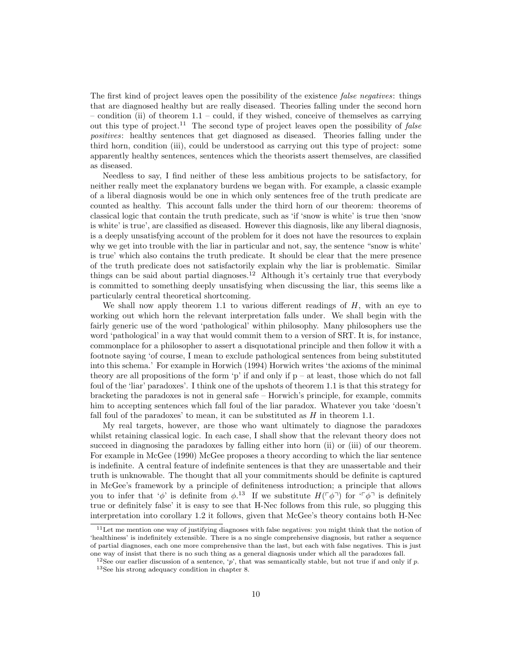The first kind of project leaves open the possibility of the existence *false negatives*: things that are diagnosed healthy but are really diseased. Theories falling under the second horn – condition (ii) of theorem 1.1 – could, if they wished, conceive of themselves as carrying out this type of project.<sup>11</sup> The second type of project leaves open the possibility of *false* positives: healthy sentences that get diagnosed as diseased. Theories falling under the third horn, condition (iii), could be understood as carrying out this type of project: some apparently healthy sentences, sentences which the theorists assert themselves, are classified as diseased.

Needless to say, I find neither of these less ambitious projects to be satisfactory, for neither really meet the explanatory burdens we began with. For example, a classic example of a liberal diagnosis would be one in which only sentences free of the truth predicate are counted as healthy. This account falls under the third horn of our theorem: theorems of classical logic that contain the truth predicate, such as 'if 'snow is white' is true then 'snow is white' is true', are classified as diseased. However this diagnosis, like any liberal diagnosis, is a deeply unsatisfying account of the problem for it does not have the resources to explain why we get into trouble with the liar in particular and not, say, the sentence "snow is white' is true' which also contains the truth predicate. It should be clear that the mere presence of the truth predicate does not satisfactorily explain why the liar is problematic. Similar things can be said about partial diagnoses.<sup>12</sup> Although it's certainly true that everybody is committed to something deeply unsatisfying when discussing the liar, this seems like a particularly central theoretical shortcoming.

We shall now apply theorem 1.1 to various different readings of  $H$ , with an eye to working out which horn the relevant interpretation falls under. We shall begin with the fairly generic use of the word 'pathological' within philosophy. Many philosophers use the word 'pathological' in a way that would commit them to a version of SRT. It is, for instance, commonplace for a philosopher to assert a disquotational principle and then follow it with a footnote saying 'of course, I mean to exclude pathological sentences from being substituted into this schema.' For example in Horwich (1994) Horwich writes 'the axioms of the minimal theory are all propositions of the form 'p' if and only if  $p - at least$ , those which do not fall foul of the 'liar' paradoxes'. I think one of the upshots of theorem 1.1 is that this strategy for bracketing the paradoxes is not in general safe – Horwich's principle, for example, commits him to accepting sentences which fall foul of the liar paradox. Whatever you take 'doesn't fall foul of the paradoxes' to mean, it can be substituted as  $H$  in theorem 1.1.

My real targets, however, are those who want ultimately to diagnose the paradoxes whilst retaining classical logic. In each case, I shall show that the relevant theory does not succeed in diagnosing the paradoxes by falling either into horn (ii) or (iii) of our theorem. For example in McGee (1990) McGee proposes a theory according to which the liar sentence is indefinite. A central feature of indefinite sentences is that they are unassertable and their truth is unknowable. The thought that all your commitments should be definite is captured in McGee's framework by a principle of definiteness introduction; a principle that allows you to infer that ' $\phi$ ' is definite from  $\phi$ .<sup>13</sup> If we substitute  $H(\ulcorner \phi \urcorner)$  for  $\ulcorner \phi \urcorner$  is definitely true or definitely false' it is easy to see that H-Nec follows from this rule, so plugging this interpretation into corollary 1.2 it follows, given that McGee's theory contains both H-Nec

<sup>&</sup>lt;sup>11</sup>Let me mention one way of justifying diagnoses with false negatives: you might think that the notion of 'healthiness' is indefinitely extensible. There is a no single comprehensive diagnosis, but rather a sequence of partial diagnoses, each one more comprehensive than the last, but each with false negatives. This is just one way of insist that there is no such thing as a general diagnosis under which all the paradoxes fall.

<sup>&</sup>lt;sup>12</sup>See our earlier discussion of a sentence, 'p', that was semantically stable, but not true if and only if p. <sup>13</sup>See his strong adequacy condition in chapter 8.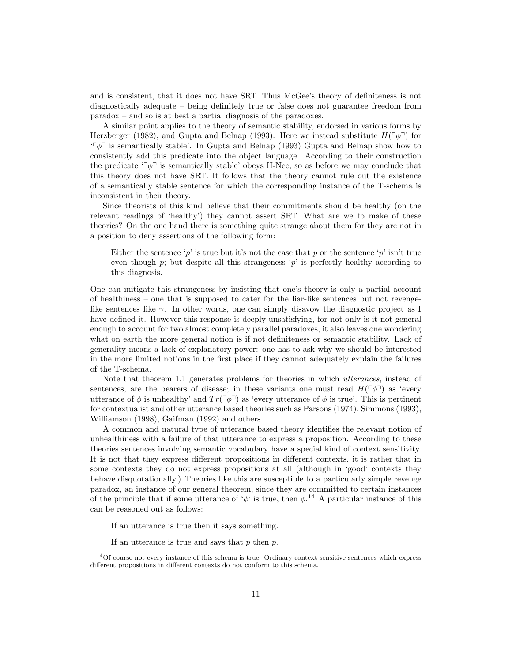and is consistent, that it does not have SRT. Thus McGee's theory of definiteness is not diagnostically adequate – being definitely true or false does not guarantee freedom from paradox – and so is at best a partial diagnosis of the paradoxes.

A similar point applies to the theory of semantic stability, endorsed in various forms by Herzberger (1982), and Gupta and Belnap (1993). Here we instead substitute  $H(\ulcorner \phi \urcorner)$  for  $\sqrt{\phi}$  is semantically stable'. In Gupta and Belnap (1993) Gupta and Belnap show how to consistently add this predicate into the object language. According to their construction the predicate  $\varphi$ <sup> $\uparrow$ </sup> is semantically stable' obeys H-Nec, so as before we may conclude that this theory does not have SRT. It follows that the theory cannot rule out the existence of a semantically stable sentence for which the corresponding instance of the T-schema is inconsistent in their theory.

Since theorists of this kind believe that their commitments should be healthy (on the relevant readings of 'healthy') they cannot assert SRT. What are we to make of these theories? On the one hand there is something quite strange about them for they are not in a position to deny assertions of the following form:

Either the sentence 'p' is true but it's not the case that p or the sentence 'p' isn't true even though  $p$ ; but despite all this strangeness 'p' is perfectly healthy according to this diagnosis.

One can mitigate this strangeness by insisting that one's theory is only a partial account of healthiness – one that is supposed to cater for the liar-like sentences but not revengelike sentences like  $\gamma$ . In other words, one can simply disavow the diagnostic project as I have defined it. However this response is deeply unsatisfying, for not only is it not general enough to account for two almost completely parallel paradoxes, it also leaves one wondering what on earth the more general notion is if not definiteness or semantic stability. Lack of generality means a lack of explanatory power: one has to ask why we should be interested in the more limited notions in the first place if they cannot adequately explain the failures of the T-schema.

Note that theorem 1.1 generates problems for theories in which utterances, instead of sentences, are the bearers of disease; in these variants one must read  $H(\ulcorner\phi\urcorner)$  as 'every utterance of  $\phi$  is unhealthy' and  $Tr(\phi^{\dagger})$  as 'every utterance of  $\phi$  is true'. This is pertinent for contextualist and other utterance based theories such as Parsons (1974), Simmons (1993), Williamson (1998), Gaifman (1992) and others.

A common and natural type of utterance based theory identifies the relevant notion of unhealthiness with a failure of that utterance to express a proposition. According to these theories sentences involving semantic vocabulary have a special kind of context sensitivity. It is not that they express different propositions in different contexts, it is rather that in some contexts they do not express propositions at all (although in 'good' contexts they behave disquotationally.) Theories like this are susceptible to a particularly simple revenge paradox, an instance of our general theorem, since they are committed to certain instances of the principle that if some utterance of  $\phi$  is true, then  $\phi$ .<sup>14</sup> A particular instance of this can be reasoned out as follows:

If an utterance is true then it says something.

If an utterance is true and says that  $p$  then  $p$ .

<sup>14</sup>Of course not every instance of this schema is true. Ordinary context sensitive sentences which express different propositions in different contexts do not conform to this schema.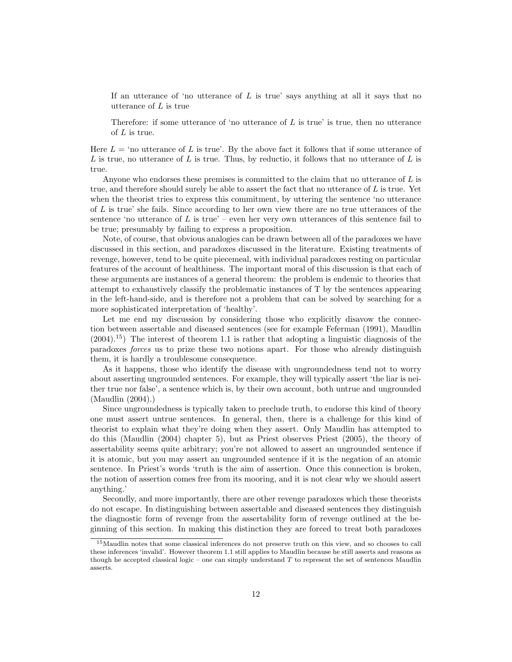If an utterance of 'no utterance of  $L$  is true' says anything at all it says that no utterance of  $L$  is true

Therefore: if some utterance of 'no utterance of L is true' is true, then no utterance of L is true.

Here  $L = 'no$  utterance of L is true'. By the above fact it follows that if some utterance of L is true, no utterance of L is true. Thus, by reductio, it follows that no utterance of L is true.

Anyone who endorses these premises is committed to the claim that no utterance of  $L$  is true, and therefore should surely be able to assert the fact that no utterance of  $L$  is true. Yet when the theorist tries to express this commitment, by uttering the sentence 'no utterance of  $L$  is true' she fails. Since according to her own view there are no true utterances of the sentence 'no utterance of  $L$  is true' – even her very own utterances of this sentence fail to be true; presumably by failing to express a proposition.

Note, of course, that obvious analogies can be drawn between all of the paradoxes we have discussed in this section, and paradoxes discussed in the literature. Existing treatments of revenge, however, tend to be quite piecemeal, with individual paradoxes resting on particular features of the account of healthiness. The important moral of this discussion is that each of these arguments are instances of a general theorem: the problem is endemic to theories that attempt to exhaustively classify the problematic instances of T by the sentences appearing in the left-hand-side, and is therefore not a problem that can be solved by searching for a more sophisticated interpretation of 'healthy'.

Let me end my discussion by considering those who explicitly disavow the connection between assertable and diseased sentences (see for example Feferman (1991), Maudlin  $(2004).^{15}$ ) The interest of theorem 1.1 is rather that adopting a linguistic diagnosis of the paradoxes forces us to prize these two notions apart. For those who already distinguish them, it is hardly a troublesome consequence.

As it happens, those who identify the disease with ungroundedness tend not to worry about asserting ungrounded sentences. For example, they will typically assert 'the liar is neither true nor false', a sentence which is, by their own account, both untrue and ungrounded (Maudlin (2004).)

Since ungroundedness is typically taken to preclude truth, to endorse this kind of theory one must assert untrue sentences. In general, then, there is a challenge for this kind of theorist to explain what they're doing when they assert. Only Maudlin has attempted to do this (Maudlin (2004) chapter 5), but as Priest observes Priest (2005), the theory of assertability seems quite arbitrary; you're not allowed to assert an ungrounded sentence if it is atomic, but you may assert an ungrounded sentence if it is the negation of an atomic sentence. In Priest's words 'truth is the aim of assertion. Once this connection is broken, the notion of assertion comes free from its mooring, and it is not clear why we should assert anything.'

Secondly, and more importantly, there are other revenge paradoxes which these theorists do not escape. In distinguishing between assertable and diseased sentences they distinguish the diagnostic form of revenge from the assertability form of revenge outlined at the beginning of this section. In making this distinction they are forced to treat both paradoxes

<sup>&</sup>lt;sup>15</sup>Maudlin notes that some classical inferences do not preserve truth on this view, and so chooses to call these inferences 'invalid'. However theorem 1.1 still applies to Maudlin because he still asserts and reasons as though he accepted classical logic – one can simply understand  $T$  to represent the set of sentences Maudlin asserts.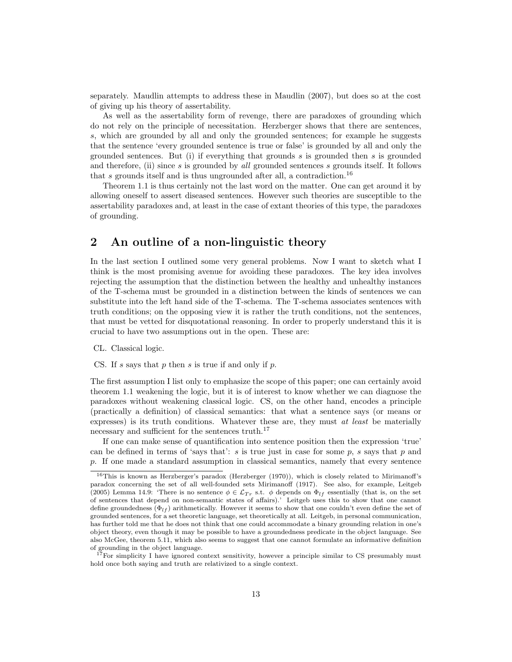separately. Maudlin attempts to address these in Maudlin (2007), but does so at the cost of giving up his theory of assertability.

As well as the assertability form of revenge, there are paradoxes of grounding which do not rely on the principle of necessitation. Herzberger shows that there are sentences, s, which are grounded by all and only the grounded sentences; for example he suggests that the sentence 'every grounded sentence is true or false' is grounded by all and only the grounded sentences. But (i) if everything that grounds  $s$  is grounded then  $s$  is grounded and therefore, (ii) since  $s$  is grounded by all grounded sentences  $s$  grounds itself. It follows that s grounds itself and is thus ungrounded after all, a contradiction.<sup>16</sup>

Theorem 1.1 is thus certainly not the last word on the matter. One can get around it by allowing oneself to assert diseased sentences. However such theories are susceptible to the assertability paradoxes and, at least in the case of extant theories of this type, the paradoxes of grounding.

# 2 An outline of a non-linguistic theory

In the last section I outlined some very general problems. Now I want to sketch what I think is the most promising avenue for avoiding these paradoxes. The key idea involves rejecting the assumption that the distinction between the healthy and unhealthy instances of the T-schema must be grounded in a distinction between the kinds of sentences we can substitute into the left hand side of the T-schema. The T-schema associates sentences with truth conditions; on the opposing view it is rather the truth conditions, not the sentences, that must be vetted for disquotational reasoning. In order to properly understand this it is crucial to have two assumptions out in the open. These are:

CL. Classical logic.

CS. If s says that p then s is true if and only if  $p$ .

The first assumption I list only to emphasize the scope of this paper; one can certainly avoid theorem 1.1 weakening the logic, but it is of interest to know whether we can diagnose the paradoxes without weakening classical logic. CS, on the other hand, encodes a principle (practically a definition) of classical semantics: that what a sentence says (or means or expresses) is its truth conditions. Whatever these are, they must at least be materially necessary and sufficient for the sentences  $\mathrm{truth.}^{17}$ 

If one can make sense of quantification into sentence position then the expression 'true' can be defined in terms of 'says that': s is true just in case for some  $p$ , s says that p and p. If one made a standard assumption in classical semantics, namely that every sentence

<sup>&</sup>lt;sup>16</sup>This is known as Herzberger's paradox (Herzberger  $(1970)$ ), which is closely related to Mirimanoff's paradox concerning the set of all well-founded sets Mirimanoff (1917). See also, for example, Leitgeb (2005) Lemma 14.9: 'There is no sentence  $\phi \in \mathcal{L}_{Tr}$  s.t.  $\phi$  depends on  $\Phi_{lf}$  essentially (that is, on the set of sentences that depend on non-semantic states of affairs).' Leitgeb uses this to show that one cannot define groundedness  $(\Phi_{lf})$  arithmetically. However it seems to show that one couldn't even define the set of grounded sentences, for a set theoretic language, set theoretically at all. Leitgeb, in personal communication, has further told me that he does not think that one could accommodate a binary grounding relation in one's object theory, even though it may be possible to have a groundedness predicate in the object language. See also McGee, theorem 5.11, which also seems to suggest that one cannot formulate an informative definition of grounding in the object language.

<sup>&</sup>lt;sup>17</sup>For simplicity I have ignored context sensitivity, however a principle similar to CS presumably must hold once both saying and truth are relativized to a single context.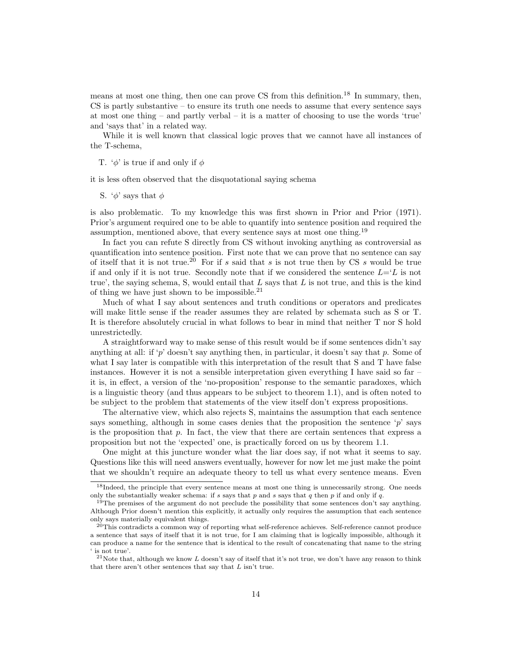means at most one thing, then one can prove CS from this definition.<sup>18</sup> In summary, then, CS is partly substantive – to ensure its truth one needs to assume that every sentence says at most one thing – and partly verbal – it is a matter of choosing to use the words 'true' and 'says that' in a related way.

While it is well known that classical logic proves that we cannot have all instances of the T-schema,

T.  $\phi$  is true if and only if  $\phi$ 

it is less often observed that the disquotational saying schema

S.  $\phi$  says that  $\phi$ 

is also problematic. To my knowledge this was first shown in Prior and Prior (1971). Prior's argument required one to be able to quantify into sentence position and required the assumption, mentioned above, that every sentence says at most one thing.<sup>19</sup>

In fact you can refute S directly from CS without invoking anything as controversial as quantification into sentence position. First note that we can prove that no sentence can say of itself that it is not true.<sup>20</sup> For if s said that s is not true then by CS s would be true if and only if it is not true. Secondly note that if we considered the sentence  $L = L$  is not true', the saying schema, S, would entail that  $L$  says that  $L$  is not true, and this is the kind of thing we have just shown to be impossible. $^{21}$ 

Much of what I say about sentences and truth conditions or operators and predicates will make little sense if the reader assumes they are related by schemata such as S or T. It is therefore absolutely crucial in what follows to bear in mind that neither T nor S hold unrestrictedly.

A straightforward way to make sense of this result would be if some sentences didn't say anything at all: if 'p' doesn't say anything then, in particular, it doesn't say that p. Some of what I say later is compatible with this interpretation of the result that S and T have false instances. However it is not a sensible interpretation given everything I have said so far – it is, in effect, a version of the 'no-proposition' response to the semantic paradoxes, which is a linguistic theory (and thus appears to be subject to theorem 1.1), and is often noted to be subject to the problem that statements of the view itself don't express propositions.

The alternative view, which also rejects S, maintains the assumption that each sentence says something, although in some cases denies that the proposition the sentence  $\hat{p}$  says is the proposition that  $p$ . In fact, the view that there are certain sentences that express a proposition but not the 'expected' one, is practically forced on us by theorem 1.1.

One might at this juncture wonder what the liar does say, if not what it seems to say. Questions like this will need answers eventually, however for now let me just make the point that we shouldn't require an adequate theory to tell us what every sentence means. Even

<sup>&</sup>lt;sup>18</sup>Indeed, the principle that every sentence means at most one thing is unnecessarily strong. One needs only the substantially weaker schema: if  $s$  says that  $p$  and  $s$  says that  $q$  then  $p$  if and only if  $q$ .

<sup>&</sup>lt;sup>19</sup>The premises of the argument do not preclude the possibility that some sentences don't say anything. Although Prior doesn't mention this explicitly, it actually only requires the assumption that each sentence only says materially equivalent things.

<sup>&</sup>lt;sup>20</sup>This contradicts a common way of reporting what self-reference achieves. Self-reference cannot produce a sentence that says of itself that it is not true, for I am claiming that is logically impossible, although it can produce a name for the sentence that is identical to the result of concatenating that name to the string ' is not true'.

<sup>&</sup>lt;sup>21</sup>Note that, although we know L doesn't say of itself that it's not true, we don't have any reason to think that there aren't other sentences that say that  $L$  isn't true.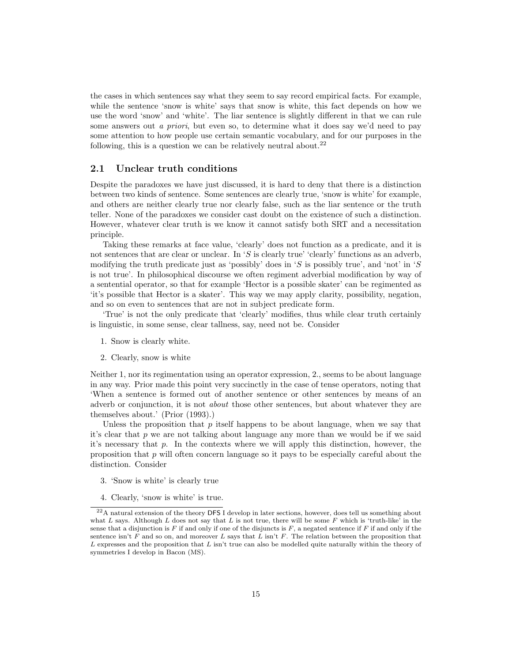the cases in which sentences say what they seem to say record empirical facts. For example, while the sentence 'snow is white' says that snow is white, this fact depends on how we use the word 'snow' and 'white'. The liar sentence is slightly different in that we can rule some answers out a priori, but even so, to determine what it does say we'd need to pay some attention to how people use certain semantic vocabulary, and for our purposes in the following, this is a question we can be relatively neutral about.<sup>22</sup>

### 2.1 Unclear truth conditions

Despite the paradoxes we have just discussed, it is hard to deny that there is a distinction between two kinds of sentence. Some sentences are clearly true, 'snow is white' for example, and others are neither clearly true nor clearly false, such as the liar sentence or the truth teller. None of the paradoxes we consider cast doubt on the existence of such a distinction. However, whatever clear truth is we know it cannot satisfy both SRT and a necessitation principle.

Taking these remarks at face value, 'clearly' does not function as a predicate, and it is not sentences that are clear or unclear. In 'S is clearly true' 'clearly' functions as an adverb, modifying the truth predicate just as 'possibly' does in 'S is possibly true', and 'not' in 'S is not true'. In philosophical discourse we often regiment adverbial modification by way of a sentential operator, so that for example 'Hector is a possible skater' can be regimented as 'it's possible that Hector is a skater'. This way we may apply clarity, possibility, negation, and so on even to sentences that are not in subject predicate form.

'True' is not the only predicate that 'clearly' modifies, thus while clear truth certainly is linguistic, in some sense, clear tallness, say, need not be. Consider

- 1. Snow is clearly white.
- 2. Clearly, snow is white

Neither 1, nor its regimentation using an operator expression, 2., seems to be about language in any way. Prior made this point very succinctly in the case of tense operators, noting that 'When a sentence is formed out of another sentence or other sentences by means of an adverb or conjunction, it is not about those other sentences, but about whatever they are themselves about.' (Prior (1993).)

Unless the proposition that  $p$  itself happens to be about language, when we say that it's clear that  $p$  we are not talking about language any more than we would be if we said it's necessary that p. In the contexts where we will apply this distinction, however, the proposition that  $p$  will often concern language so it pays to be especially careful about the distinction. Consider

- 3. 'Snow is white' is clearly true
- 4. Clearly, 'snow is white' is true.

 $22A$  natural extension of the theory DFS I develop in later sections, however, does tell us something about what  $L$  says. Although  $L$  does not say that  $L$  is not true, there will be some  $F$  which is 'truth-like' in the sense that a disjunction is  $F$  if and only if one of the disjuncts is  $F$ , a negated sentence if  $F$  if and only if the sentence isn't F and so on, and moreover L says that L isn't F. The relation between the proposition that L expresses and the proposition that  $L$  isn't true can also be modelled quite naturally within the theory of symmetries I develop in Bacon (MS).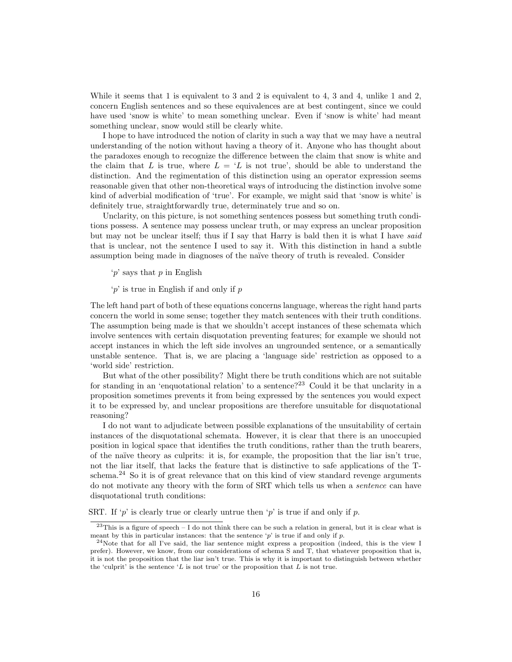While it seems that 1 is equivalent to 3 and 2 is equivalent to 4, 3 and 4, unlike 1 and 2, concern English sentences and so these equivalences are at best contingent, since we could have used 'snow is white' to mean something unclear. Even if 'snow is white' had meant something unclear, snow would still be clearly white.

I hope to have introduced the notion of clarity in such a way that we may have a neutral understanding of the notion without having a theory of it. Anyone who has thought about the paradoxes enough to recognize the difference between the claim that snow is white and the claim that L is true, where  $L = L$  is not true', should be able to understand the distinction. And the regimentation of this distinction using an operator expression seems reasonable given that other non-theoretical ways of introducing the distinction involve some kind of adverbial modification of 'true'. For example, we might said that 'snow is white' is definitely true, straightforwardly true, determinately true and so on.

Unclarity, on this picture, is not something sentences possess but something truth conditions possess. A sentence may possess unclear truth, or may express an unclear proposition but may not be unclear itself; thus if I say that Harry is bald then it is what I have said that is unclear, not the sentence I used to say it. With this distinction in hand a subtle assumption being made in diagnoses of the na¨ıve theory of truth is revealed. Consider

 $\gamma$ 'p' says that p in English

 $\gamma$  is true in English if and only if p

The left hand part of both of these equations concerns language, whereas the right hand parts concern the world in some sense; together they match sentences with their truth conditions. The assumption being made is that we shouldn't accept instances of these schemata which involve sentences with certain disquotation preventing features; for example we should not accept instances in which the left side involves an ungrounded sentence, or a semantically unstable sentence. That is, we are placing a 'language side' restriction as opposed to a 'world side' restriction.

But what of the other possibility? Might there be truth conditions which are not suitable for standing in an 'enquotational relation' to a sentence?<sup>23</sup> Could it be that unclarity in a proposition sometimes prevents it from being expressed by the sentences you would expect it to be expressed by, and unclear propositions are therefore unsuitable for disquotational reasoning?

I do not want to adjudicate between possible explanations of the unsuitability of certain instances of the disquotational schemata. However, it is clear that there is an unoccupied position in logical space that identifies the truth conditions, rather than the truth bearers, of the na¨ıve theory as culprits: it is, for example, the proposition that the liar isn't true, not the liar itself, that lacks the feature that is distinctive to safe applications of the Tschema.<sup>24</sup> So it is of great relevance that on this kind of view standard revenge arguments do not motivate any theory with the form of SRT which tells us when a sentence can have disquotational truth conditions:

SRT. If 'p' is clearly true or clearly untrue then 'p' is true if and only if p.

<sup>&</sup>lt;sup>23</sup>This is a figure of speech – I do not think there can be such a relation in general, but it is clear what is meant by this in particular instances: that the sentence  $\hat{p}'$  is true if and only if p.

 $24$ Note that for all I've said, the liar sentence might express a proposition (indeed, this is the view I prefer). However, we know, from our considerations of schema S and T, that whatever proposition that is, it is not the proposition that the liar isn't true. This is why it is important to distinguish between whether the 'culprit' is the sentence 'L is not true' or the proposition that  $L$  is not true.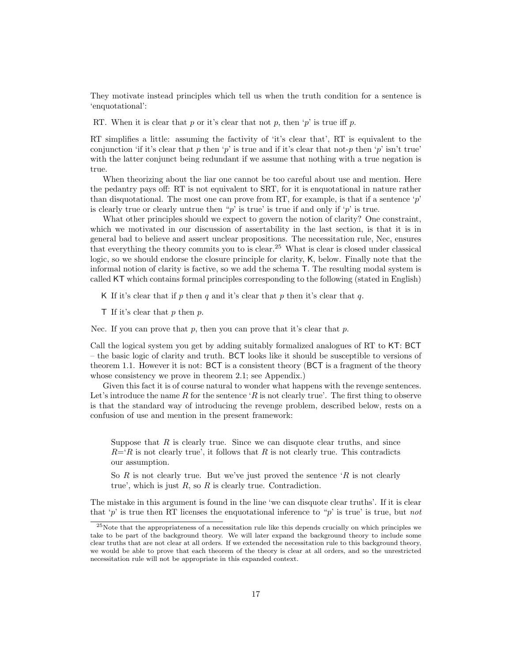They motivate instead principles which tell us when the truth condition for a sentence is 'enquotational':

RT. When it is clear that p or it's clear that not p, then 'p' is true iff p.

RT simplifies a little: assuming the factivity of 'it's clear that', RT is equivalent to the conjunction 'if it's clear that p then 'p' is true and if it's clear that not-p then 'p' isn't true' with the latter conjunct being redundant if we assume that nothing with a true negation is true.

When theorizing about the liar one cannot be too careful about use and mention. Here the pedantry pays off: RT is not equivalent to SRT, for it is enquotational in nature rather than disquotational. The most one can prove from RT, for example, is that if a sentence ' $p$ ' is clearly true or clearly untrue then "p' is true' is true if and only if 'p' is true.

What other principles should we expect to govern the notion of clarity? One constraint, which we motivated in our discussion of assertability in the last section, is that it is in general bad to believe and assert unclear propositions. The necessitation rule, Nec, ensures that everything the theory commits you to is clear.<sup>25</sup> What is clear is closed under classical logic, so we should endorse the closure principle for clarity, K, below. Finally note that the informal notion of clarity is factive, so we add the schema T. The resulting modal system is called KT which contains formal principles corresponding to the following (stated in English)

K If it's clear that if p then q and it's clear that p then it's clear that q.

 $\mathsf{T}$  If it's clear that p then p.

Nec. If you can prove that  $p$ , then you can prove that it's clear that  $p$ .

Call the logical system you get by adding suitably formalized analogues of RT to KT: BCT – the basic logic of clarity and truth. BCT looks like it should be susceptible to versions of theorem 1.1. However it is not: BCT is a consistent theory (BCT is a fragment of the theory whose consistency we prove in theorem 2.1; see Appendix.)

Given this fact it is of course natural to wonder what happens with the revenge sentences. Let's introduce the name R for the sentence 'R is not clearly true'. The first thing to observe is that the standard way of introducing the revenge problem, described below, rests on a confusion of use and mention in the present framework:

Suppose that  $R$  is clearly true. Since we can disquote clear truths, and since  $R=$ 'R is not clearly true', it follows that R is not clearly true. This contradicts our assumption.

So R is not clearly true. But we've just proved the sentence  $R$  is not clearly true', which is just  $R$ , so  $R$  is clearly true. Contradiction.

The mistake in this argument is found in the line 'we can disquote clear truths'. If it is clear that 'p' is true then RT licenses the enquotational inference to "p' is true' is true, but not

<sup>&</sup>lt;sup>25</sup>Note that the appropriateness of a necessitation rule like this depends crucially on which principles we take to be part of the background theory. We will later expand the background theory to include some clear truths that are not clear at all orders. If we extended the necessitation rule to this background theory, we would be able to prove that each theorem of the theory is clear at all orders, and so the unrestricted necessitation rule will not be appropriate in this expanded context.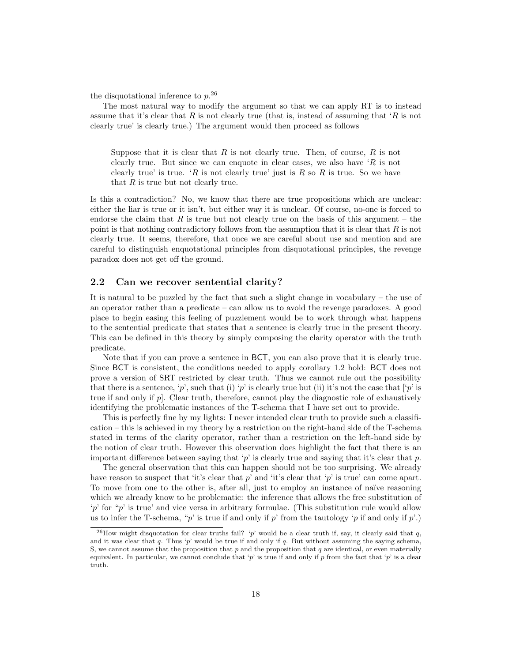the disquotational inference to  $p^{26}$ 

The most natural way to modify the argument so that we can apply RT is to instead assume that it's clear that R is not clearly true (that is, instead of assuming that 'R is not clearly true' is clearly true.) The argument would then proceed as follows

Suppose that it is clear that  $R$  is not clearly true. Then, of course,  $R$  is not clearly true. But since we can enquote in clear cases, we also have  $'R$  is not clearly true' is true. 'R is not clearly true' just is R so R is true. So we have that  $R$  is true but not clearly true.

Is this a contradiction? No, we know that there are true propositions which are unclear: either the liar is true or it isn't, but either way it is unclear. Of course, no-one is forced to endorse the claim that  $R$  is true but not clearly true on the basis of this argument – the point is that nothing contradictory follows from the assumption that it is clear that  $R$  is not clearly true. It seems, therefore, that once we are careful about use and mention and are careful to distinguish enquotational principles from disquotational principles, the revenge paradox does not get off the ground.

### 2.2 Can we recover sentential clarity?

It is natural to be puzzled by the fact that such a slight change in vocabulary – the use of an operator rather than a predicate – can allow us to avoid the revenge paradoxes. A good place to begin easing this feeling of puzzlement would be to work through what happens to the sentential predicate that states that a sentence is clearly true in the present theory. This can be defined in this theory by simply composing the clarity operator with the truth predicate.

Note that if you can prove a sentence in BCT, you can also prove that it is clearly true. Since BCT is consistent, the conditions needed to apply corollary 1.2 hold: BCT does not prove a version of SRT restricted by clear truth. Thus we cannot rule out the possibility that there is a sentence, 'p', such that (i) 'p' is clearly true but (ii) it's not the case that  $\lceil p \rceil$  is true if and only if  $p$ . Clear truth, therefore, cannot play the diagnostic role of exhaustively identifying the problematic instances of the T-schema that I have set out to provide.

This is perfectly fine by my lights: I never intended clear truth to provide such a classification – this is achieved in my theory by a restriction on the right-hand side of the T-schema stated in terms of the clarity operator, rather than a restriction on the left-hand side by the notion of clear truth. However this observation does highlight the fact that there is an important difference between saying that 'p' is clearly true and saying that it's clear that p.

The general observation that this can happen should not be too surprising. We already have reason to suspect that 'it's clear that  $p'$  and 'it's clear that 'p' is true' can come apart. To move from one to the other is, after all, just to employ an instance of naïve reasoning which we already know to be problematic: the inference that allows the free substitution of  $'p'$  for "p' is true' and vice versa in arbitrary formulae. (This substitution rule would allow us to infer the T-schema, " $p$ ' is true if and only if  $p'$  from the tautology 'p if and only if  $p'$ .)

<sup>&</sup>lt;sup>26</sup>How might disquotation for clear truths fail? 'p' would be a clear truth if, say, it clearly said that q, and it was clear that q. Thus 'p' would be true if and only if q. But without assuming the saying schema, S, we cannot assume that the proposition that  $p$  and the proposition that  $q$  are identical, or even materially equivalent. In particular, we cannot conclude that 'p' is true if and only if p from the fact that 'p' is a clear truth.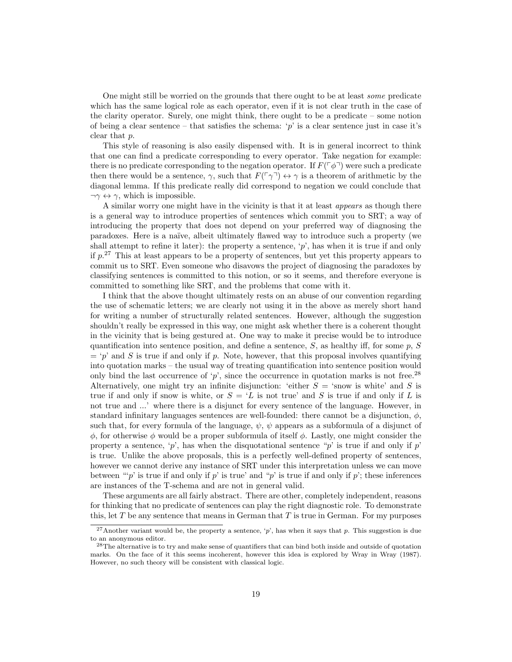One might still be worried on the grounds that there ought to be at least some predicate which has the same logical role as each operator, even if it is not clear truth in the case of the clarity operator. Surely, one might think, there ought to be a predicate – some notion of being a clear sentence – that satisfies the schema: 'p' is a clear sentence just in case it's clear that p.

This style of reasoning is also easily dispensed with. It is in general incorrect to think that one can find a predicate corresponding to every operator. Take negation for example: there is no predicate corresponding to the negation operator. If  $F(\ulcorner\phi\urcorner)$  were such a predicate then there would be a sentence,  $\gamma$ , such that  $F(\lceil \gamma \rceil) \leftrightarrow \gamma$  is a theorem of arithmetic by the diagonal lemma. If this predicate really did correspond to negation we could conclude that  $\neg \gamma \leftrightarrow \gamma$ , which is impossible.

A similar worry one might have in the vicinity is that it at least appears as though there is a general way to introduce properties of sentences which commit you to SRT; a way of introducing the property that does not depend on your preferred way of diagnosing the paradoxes. Here is a naïve, albeit ultimately flawed way to introduce such a property (we shall attempt to refine it later): the property a sentence,  $\hat{p}$ , has when it is true if and only if  $p^{27}$  This at least appears to be a property of sentences, but yet this property appears to commit us to SRT. Even someone who disavows the project of diagnosing the paradoxes by classifying sentences is committed to this notion, or so it seems, and therefore everyone is committed to something like SRT, and the problems that come with it.

I think that the above thought ultimately rests on an abuse of our convention regarding the use of schematic letters; we are clearly not using it in the above as merely short hand for writing a number of structurally related sentences. However, although the suggestion shouldn't really be expressed in this way, one might ask whether there is a coherent thought in the vicinity that is being gestured at. One way to make it precise would be to introduce quantification into sentence position, and define a sentence,  $S$ , as healthy iff, for some p,  $S$  $=$  'p' and S is true if and only if p. Note, however, that this proposal involves quantifying into quotation marks – the usual way of treating quantification into sentence position would only bind the last occurrence of 'p', since the occurrence in quotation marks is not free.<sup>28</sup> Alternatively, one might try an infinite disjunction: 'either  $S =$  'snow is white' and S is true if and only if snow is white, or  $S = 'L$  is not true' and S is true if and only if L is not true and ...' where there is a disjunct for every sentence of the language. However, in standard infinitary languages sentences are well-founded: there cannot be a disjunction,  $\phi$ , such that, for every formula of the language,  $\psi$ ,  $\psi$  appears as a subformula of a disjunct of  $\phi$ , for otherwise  $\phi$  would be a proper subformula of itself  $\phi$ . Lastly, one might consider the property a sentence, 'p', has when the disquotational sentence "p' is true if and only if p' is true. Unlike the above proposals, this is a perfectly well-defined property of sentences, however we cannot derive any instance of SRT under this interpretation unless we can move between " $p$ ' is true if and only if p' is true' and "p' is true if and only if p'; these inferences are instances of the T-schema and are not in general valid.

These arguments are all fairly abstract. There are other, completely independent, reasons for thinking that no predicate of sentences can play the right diagnostic role. To demonstrate this, let  $T$  be any sentence that means in German that  $T$  is true in German. For my purposes

<sup>&</sup>lt;sup>27</sup>Another variant would be, the property a sentence, 'p', has when it says that p. This suggestion is due to an anonymous editor.

<sup>&</sup>lt;sup>28</sup>The alternative is to try and make sense of quantifiers that can bind both inside and outside of quotation marks. On the face of it this seems incoherent, however this idea is explored by Wray in Wray (1987). However, no such theory will be consistent with classical logic.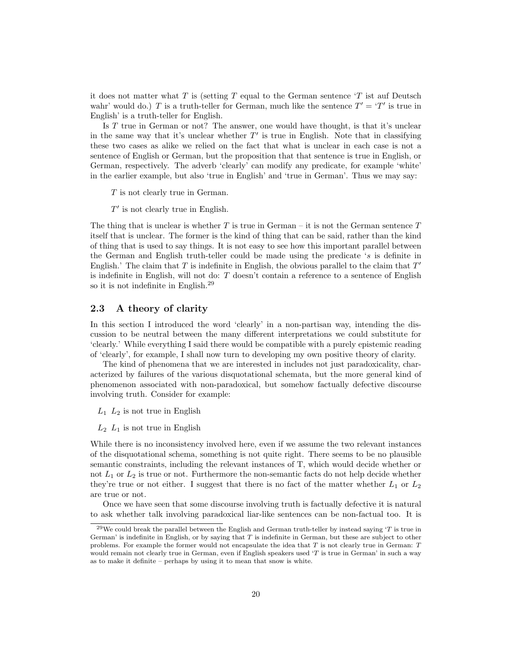it does not matter what  $T$  is (setting  $T$  equal to the German sentence  $T$  ist auf Deutsch wahr' would do.) T is a truth-teller for German, much like the sentence  $T' = 'T'$  is true in English' is a truth-teller for English.

Is T true in German or not? The answer, one would have thought, is that it's unclear in the same way that it's unclear whether  $T'$  is true in English. Note that in classifying these two cases as alike we relied on the fact that what is unclear in each case is not a sentence of English or German, but the proposition that that sentence is true in English, or German, respectively. The adverb 'clearly' can modify any predicate, for example 'white' in the earlier example, but also 'true in English' and 'true in German'. Thus we may say:

T is not clearly true in German.

 $T'$  is not clearly true in English.

The thing that is unclear is whether  $T$  is true in German – it is not the German sentence  $T$ itself that is unclear. The former is the kind of thing that can be said, rather than the kind of thing that is used to say things. It is not easy to see how this important parallel between the German and English truth-teller could be made using the predicate 's is definite in English.' The claim that  $T$  is indefinite in English, the obvious parallel to the claim that  $T'$ is indefinite in English, will not do:  $T$  doesn't contain a reference to a sentence of English so it is not indefinite in English.<sup>29</sup>

### 2.3 A theory of clarity

In this section I introduced the word 'clearly' in a non-partisan way, intending the discussion to be neutral between the many different interpretations we could substitute for 'clearly.' While everything I said there would be compatible with a purely epistemic reading of 'clearly', for example, I shall now turn to developing my own positive theory of clarity.

The kind of phenomena that we are interested in includes not just paradoxicality, characterized by failures of the various disquotational schemata, but the more general kind of phenomenon associated with non-paradoxical, but somehow factually defective discourse involving truth. Consider for example:

 $L_1$   $L_2$  is not true in English

 $L_2$   $L_1$  is not true in English

While there is no inconsistency involved here, even if we assume the two relevant instances of the disquotational schema, something is not quite right. There seems to be no plausible semantic constraints, including the relevant instances of T, which would decide whether or not  $L_1$  or  $L_2$  is true or not. Furthermore the non-semantic facts do not help decide whether they're true or not either. I suggest that there is no fact of the matter whether  $L_1$  or  $L_2$ are true or not.

Once we have seen that some discourse involving truth is factually defective it is natural to ask whether talk involving paradoxical liar-like sentences can be non-factual too. It is

<sup>&</sup>lt;sup>29</sup>We could break the parallel between the English and German truth-teller by instead saying 'T is true in German' is indefinite in English, or by saying that  $T$  is indefinite in German, but these are subject to other problems. For example the former would not encapsulate the idea that T is not clearly true in German: T would remain not clearly true in German, even if English speakers used  $T$  is true in German' in such a way as to make it definite – perhaps by using it to mean that snow is white.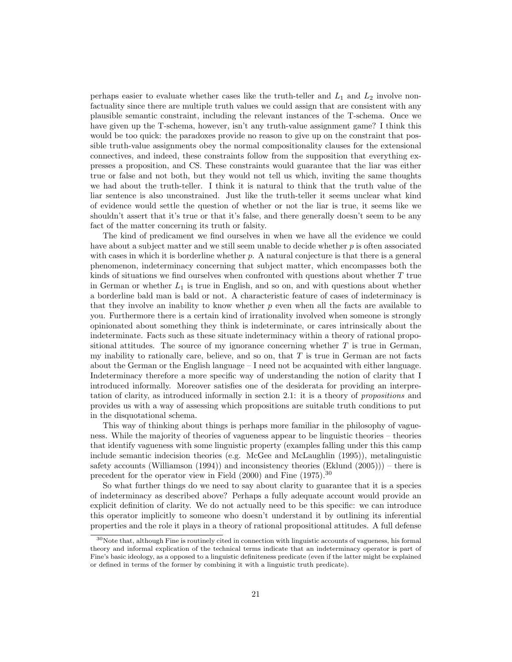perhaps easier to evaluate whether cases like the truth-teller and  $L_1$  and  $L_2$  involve nonfactuality since there are multiple truth values we could assign that are consistent with any plausible semantic constraint, including the relevant instances of the T-schema. Once we have given up the T-schema, however, isn't any truth-value assignment game? I think this would be too quick: the paradoxes provide no reason to give up on the constraint that possible truth-value assignments obey the normal compositionality clauses for the extensional connectives, and indeed, these constraints follow from the supposition that everything expresses a proposition, and CS. These constraints would guarantee that the liar was either true or false and not both, but they would not tell us which, inviting the same thoughts we had about the truth-teller. I think it is natural to think that the truth value of the liar sentence is also unconstrained. Just like the truth-teller it seems unclear what kind of evidence would settle the question of whether or not the liar is true, it seems like we shouldn't assert that it's true or that it's false, and there generally doesn't seem to be any fact of the matter concerning its truth or falsity.

The kind of predicament we find ourselves in when we have all the evidence we could have about a subject matter and we still seem unable to decide whether p is often associated with cases in which it is borderline whether  $p$ . A natural conjecture is that there is a general phenomenon, indeterminacy concerning that subject matter, which encompasses both the kinds of situations we find ourselves when confronted with questions about whether T true in German or whether  $L_1$  is true in English, and so on, and with questions about whether a borderline bald man is bald or not. A characteristic feature of cases of indeterminacy is that they involve an inability to know whether  $p$  even when all the facts are available to you. Furthermore there is a certain kind of irrationality involved when someone is strongly opinionated about something they think is indeterminate, or cares intrinsically about the indeterminate. Facts such as these situate indeterminacy within a theory of rational propositional attitudes. The source of my ignorance concerning whether  $T$  is true in German, my inability to rationally care, believe, and so on, that  $T$  is true in German are not facts about the German or the English language  $-1$  need not be acquainted with either language. Indeterminacy therefore a more specific way of understanding the notion of clarity that I introduced informally. Moreover satisfies one of the desiderata for providing an interpretation of clarity, as introduced informally in section 2.1: it is a theory of *propositions* and provides us with a way of assessing which propositions are suitable truth conditions to put in the disquotational schema.

This way of thinking about things is perhaps more familiar in the philosophy of vagueness. While the majority of theories of vagueness appear to be linguistic theories – theories that identify vagueness with some linguistic property (examples falling under this this camp include semantic indecision theories (e.g. McGee and McLaughlin (1995)), metalinguistic safety accounts (Williamson (1994)) and inconsistency theories (Eklund  $(2005))$  – there is precedent for the operator view in Field  $(2000)$  and Fine  $(1975)$ .<sup>30</sup>

So what further things do we need to say about clarity to guarantee that it is a species of indeterminacy as described above? Perhaps a fully adequate account would provide an explicit definition of clarity. We do not actually need to be this specific: we can introduce this operator implicitly to someone who doesn't understand it by outlining its inferential properties and the role it plays in a theory of rational propositional attitudes. A full defense

<sup>30</sup>Note that, although Fine is routinely cited in connection with linguistic accounts of vagueness, his formal theory and informal explication of the technical terms indicate that an indeterminacy operator is part of Fine's basic ideology, as a opposed to a linguistic definiteness predicate (even if the latter might be explained or defined in terms of the former by combining it with a linguistic truth predicate).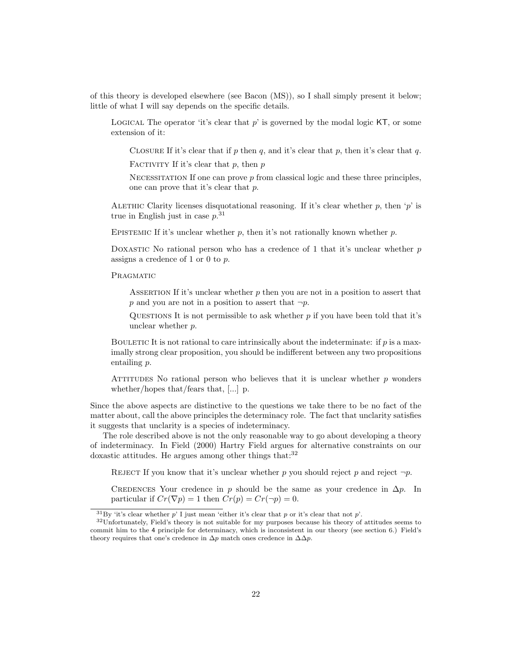of this theory is developed elsewhere (see Bacon (MS)), so I shall simply present it below; little of what I will say depends on the specific details.

LOGICAL The operator 'it's clear that  $p'$  is governed by the modal logic KT, or some extension of it:

CLOSURE If it's clear that if p then q, and it's clear that p, then it's clear that q.

FACTIVITY If it's clear that  $p$ , then  $p$ 

NECESSITATION If one can prove  $p$  from classical logic and these three principles, one can prove that it's clear that p.

ALETHIC Clarity licenses disquotational reasoning. If it's clear whether  $p$ , then 'p' is true in English just in case  $p^{31}$ 

EPISTEMIC If it's unclear whether  $p$ , then it's not rationally known whether  $p$ .

DOXASTIC No rational person who has a credence of 1 that it's unclear whether  $p$ assigns a credence of 1 or 0 to p.

### PRAGMATIC

ASSERTION If it's unclear whether  $p$  then you are not in a position to assert that p and you are not in a position to assert that  $\neg p$ .

QUESTIONS It is not permissible to ask whether  $p$  if you have been told that it's unclear whether p.

BOULETIC It is not rational to care intrinsically about the indeterminate: if  $p$  is a maximally strong clear proposition, you should be indifferent between any two propositions entailing p.

ATTITUDES No rational person who believes that it is unclear whether  $p$  wonders whether/hopes that/fears that, [...] p.

Since the above aspects are distinctive to the questions we take there to be no fact of the matter about, call the above principles the determinacy role. The fact that unclarity satisfies it suggests that unclarity is a species of indeterminacy.

The role described above is not the only reasonable way to go about developing a theory of indeterminacy. In Field (2000) Hartry Field argues for alternative constraints on our doxastic attitudes. He argues among other things that:<sup>32</sup>

REJECT If you know that it's unclear whether p you should reject p and reject  $\neg p$ .

CREDENCES Your credence in p should be the same as your credence in  $\Delta p$ . In particular if  $Cr(\nabla p) = 1$  then  $Cr(p) = Cr(\neg p) = 0$ .

 $^{31}$ By 'it's clear whether p' I just mean 'either it's clear that p or it's clear that not p'.

<sup>32</sup>Unfortunately, Field's theory is not suitable for my purposes because his theory of attitudes seems to commit him to the 4 principle for determinacy, which is inconsistent in our theory (see section 6.) Field's theory requires that one's credence in  $\Delta p$  match ones credence in  $\Delta \Delta p$ .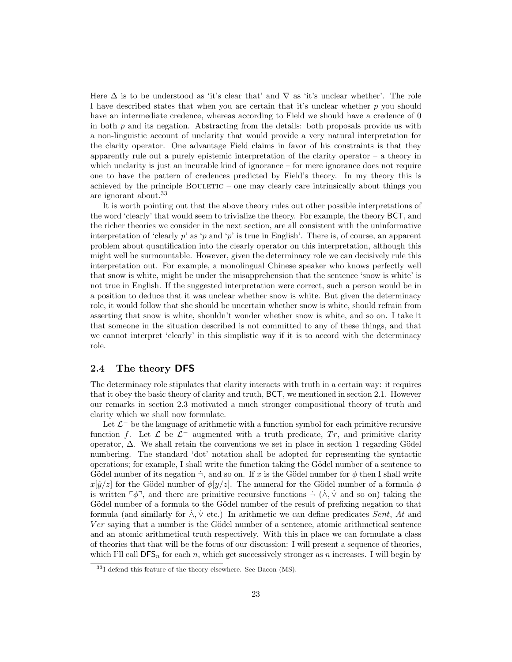Here  $\Delta$  is to be understood as 'it's clear that' and  $\nabla$  as 'it's unclear whether'. The role I have described states that when you are certain that it's unclear whether  $p$  you should have an intermediate credence, whereas according to Field we should have a credence of 0 in both  $p$  and its negation. Abstracting from the details: both proposals provide us with a non-linguistic account of unclarity that would provide a very natural interpretation for the clarity operator. One advantage Field claims in favor of his constraints is that they apparently rule out a purely epistemic interpretation of the clarity operator – a theory in which unclarity is just an incurable kind of ignorance – for mere ignorance does not require one to have the pattern of credences predicted by Field's theory. In my theory this is achieved by the principle  $BouLETIC - one may clearly care intrinsically about things you$ are ignorant about.<sup>33</sup>

It is worth pointing out that the above theory rules out other possible interpretations of the word 'clearly' that would seem to trivialize the theory. For example, the theory BCT, and the richer theories we consider in the next section, are all consistent with the uninformative interpretation of 'clearly p' as 'p and 'p' is true in English'. There is, of course, an apparent problem about quantification into the clearly operator on this interpretation, although this might well be surmountable. However, given the determinacy role we can decisively rule this interpretation out. For example, a monolingual Chinese speaker who knows perfectly well that snow is white, might be under the misapprehension that the sentence 'snow is white' is not true in English. If the suggested interpretation were correct, such a person would be in a position to deduce that it was unclear whether snow is white. But given the determinacy role, it would follow that she should be uncertain whether snow is white, should refrain from asserting that snow is white, shouldn't wonder whether snow is white, and so on. I take it that someone in the situation described is not committed to any of these things, and that we cannot interpret 'clearly' in this simplistic way if it is to accord with the determinacy role.

### 2.4 The theory DFS

The determinacy role stipulates that clarity interacts with truth in a certain way: it requires that it obey the basic theory of clarity and truth, BCT, we mentioned in section 2.1. However our remarks in section 2.3 motivated a much stronger compositional theory of truth and clarity which we shall now formulate.

Let  $\mathcal{L}^-$  be the language of arithmetic with a function symbol for each primitive recursive function f. Let  $\mathcal L$  be  $\mathcal L^-$  augmented with a truth predicate,  $Tr$ , and primitive clarity operator,  $\Delta$ . We shall retain the conventions we set in place in section 1 regarding Gödel numbering. The standard 'dot' notation shall be adopted for representing the syntactic operations; for example, I shall write the function taking the G¨odel number of a sentence to Gödel number of its negation  $\dot{\neg}$ , and so on. If x is the Gödel number for  $\phi$  then I shall write  $x[j/z]$  for the Gödel number of  $\phi[y/z]$ . The numeral for the Gödel number of a formula  $\phi$ is written  $\lceil \phi \rceil$ , and there are primitive recursive functions  $\dot{\lnot}(\Lambda, \dot{\vee}$  and so on) taking the Gödel number of a formula to the Gödel number of the result of prefixing negation to that formula (and similarly for  $\lambda, \dot{\vee}$  etc.) In arithmetic we can define predicates Sent, At and Ver saying that a number is the Gödel number of a sentence, atomic arithmetical sentence and an atomic arithmetical truth respectively. With this in place we can formulate a class of theories that that will be the focus of our discussion: I will present a sequence of theories, which I'll call  $\mathsf{DFS}_n$  for each n, which get successively stronger as n increases. I will begin by

<sup>33</sup>I defend this feature of the theory elsewhere. See Bacon (MS).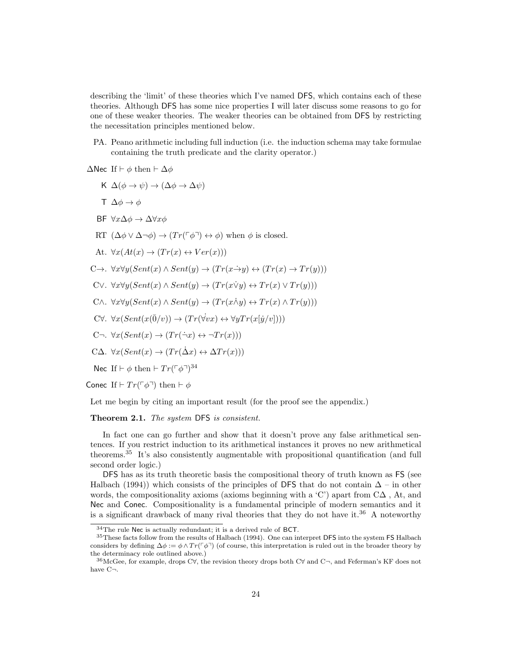describing the 'limit' of these theories which I've named DFS, which contains each of these theories. Although DFS has some nice properties I will later discuss some reasons to go for one of these weaker theories. The weaker theories can be obtained from DFS by restricting the necessitation principles mentioned below.

PA. Peano arithmetic including full induction (i.e. the induction schema may take formulae containing the truth predicate and the clarity operator.)

 $\Delta$ Nec If  $\vdash \phi$  then  $\vdash \Delta \phi$ 

$$
K \Delta(\phi \to \psi) \to (\Delta \phi \to \Delta \psi)
$$

 $\top \Delta \phi \rightarrow \phi$ 

BF  $\forall x \Delta \phi \rightarrow \Delta \forall x \phi$ 

RT  $(\Delta \phi \lor \Delta \neg \phi) \to (Tr(\ulcorner \phi \urcorner) \leftrightarrow \phi)$  when  $\phi$  is closed.

At. 
$$
\forall x (At(x) \rightarrow (Tr(x) \leftrightarrow Ver(x)))
$$

- $C \rightarrow$ .  $\forall x \forall y (Sent(x) \land Sent(y) \rightarrow (Tr(x\rightarrow y) \leftrightarrow (Tr(x) \rightarrow Tr(y)))$
- C∨.  $\forall x \forall y (Sent(x) \land Sent(y) \rightarrow (Tr(x\dot{\lor}y) \leftrightarrow Tr(x) \lor Tr(y)))$
- C $\wedge$ .  $\forall x \forall y (Sent(x) \wedge Sent(y) \rightarrow (Tr(x\land y) \leftrightarrow Tr(x) \wedge Tr(y)))$
- C $\forall$ .  $\forall x (Sent(x(\bar{0}/v)) \rightarrow (Tr(\forall vx) \leftrightarrow \forall y Tr(x[\dot{y}/v]))$

$$
C \neg. \ \forall x (Sent(x) \rightarrow (Tr(\neg x) \leftrightarrow \neg Tr(x)))
$$

C $\Delta$ .  $\forall x (Sent(x) \rightarrow (Tr(\Delta x) \leftrightarrow \Delta Tr(x)))$ 

Nec If  $\vdash \phi$  then  $\vdash Tr(\ulcorner \phi \urcorner)^{34}$ 

Conec If  $\vdash Tr(\ulcorner \phi \urcorner)$  then  $\vdash \phi$ 

Let me begin by citing an important result (for the proof see the appendix.)

Theorem 2.1. The system DFS is consistent.

In fact one can go further and show that it doesn't prove any false arithmetical sentences. If you restrict induction to its arithmetical instances it proves no new arithmetical theorems.<sup>35</sup> It's also consistently augmentable with propositional quantification (and full second order logic.)

DFS has as its truth theoretic basis the compositional theory of truth known as FS (see Halbach (1994)) which consists of the principles of DFS that do not contain  $\Delta$  – in other words, the compositionality axioms (axioms beginning with a 'C') apart from  $C\Delta$ , At, and Nec and Conec. Compositionality is a fundamental principle of modern semantics and it is a significant drawback of many rival theories that they do not have it.<sup>36</sup> A noteworthy

<sup>34</sup>The rule Nec is actually redundant; it is a derived rule of BCT.

<sup>&</sup>lt;sup>35</sup>These facts follow from the results of Halbach (1994). One can interpret DFS into the system FS Halbach considers by defining  $\Delta \phi := \phi \wedge Tr(\phi \wedge)$  (of course, this interpretation is ruled out in the broader theory by the determinacy role outlined above.)

 $36$ McGee, for example, drops C $\forall$ , the revision theory drops both C $\forall$  and C $\neg$ , and Feferman's KF does not have C¬.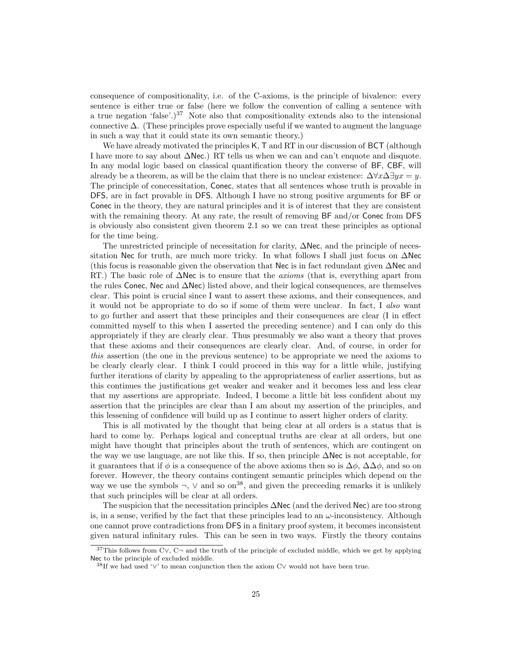consequence of compositionality, i.e. of the C-axioms, is the principle of bivalence: every sentence is either true or false (here we follow the convention of calling a sentence with a true negation 'false'.)<sup>37</sup> Note also that compositionality extends also to the intensional connective  $\Delta$ . (These principles prove especially useful if we wanted to augment the language in such a way that it could state its own semantic theory.)

We have already motivated the principles K, T and RT in our discussion of BCT (although I have more to say about ∆Nec.) RT tells us when we can and can't enquote and disquote. In any modal logic based on classical quantification theory the converse of BF, CBF, will already be a theorem, as will be the claim that there is no unclear existence:  $\Delta \forall x \Delta \exists y x = y$ . The principle of conecessitation, Conec, states that all sentences whose truth is provable in DFS, are in fact provable in DFS. Although I have no strong positive arguments for BF or Conec in the theory, they are natural principles and it is of interest that they are consistent with the remaining theory. At any rate, the result of removing BF and/or Conec from DFS is obviously also consistent given theorem 2.1 so we can treat these principles as optional for the time being.

The unrestricted principle of necessitation for clarity,  $\Delta$ Nec, and the principle of necessitation Nec for truth, are much more tricky. In what follows I shall just focus on  $\Delta$ Nec (this focus is reasonable given the observation that Nec is in fact redundant given ∆Nec and RT.) The basic role of  $\Delta$ Nec is to ensure that the *axioms* (that is, everything apart from the rules Conec, Nec and ∆Nec) listed above, and their logical consequences, are themselves clear. This point is crucial since I want to assert these axioms, and their consequences, and it would not be appropriate to do so if some of them were unclear. In fact, I also want to go further and assert that these principles and their consequences are clear (I in effect committed myself to this when I asserted the preceding sentence) and I can only do this appropriately if they are clearly clear. Thus presumably we also want a theory that proves that these axioms and their consequences are clearly clear. And, of course, in order for this assertion (the one in the previous sentence) to be appropriate we need the axioms to be clearly clearly clear. I think I could proceed in this way for a little while, justifying further iterations of clarity by appealing to the appropriateness of earlier assertions, but as this continues the justifications get weaker and weaker and it becomes less and less clear that my assertions are appropriate. Indeed, I become a little bit less confident about my assertion that the principles are clear than I am about my assertion of the principles, and this lessening of confidence will build up as I continue to assert higher orders of clarity.

This is all motivated by the thought that being clear at all orders is a status that is hard to come by. Perhaps logical and conceptual truths are clear at all orders, but one might have thought that principles about the truth of sentences, which are contingent on the way we use language, are not like this. If so, then principle ∆Nec is not acceptable, for it guarantees that if  $\phi$  is a consequence of the above axioms then so is  $\Delta\phi$ ,  $\Delta\Delta\phi$ , and so on forever. However, the theory contains contingent semantic principles which depend on the way we use the symbols  $\neg$ ,  $\vee$  and so on<sup>38</sup>, and given the preceeding remarks it is unlikely that such principles will be clear at all orders.

The suspicion that the necessitation principles ∆Nec (and the derived Nec) are too strong is, in a sense, verified by the fact that these principles lead to an  $\omega$ -inconsistency. Although one cannot prove contradictions from DFS in a finitary proof system, it becomes inconsistent given natural infinitary rules. This can be seen in two ways. Firstly the theory contains

<sup>37</sup>This follows from C∨, C¬ and the truth of the principle of excluded middle, which we get by applying Nec to the principle of excluded middle.

<sup>38</sup>If we had used '∨' to mean conjunction then the axiom C∨ would not have been true.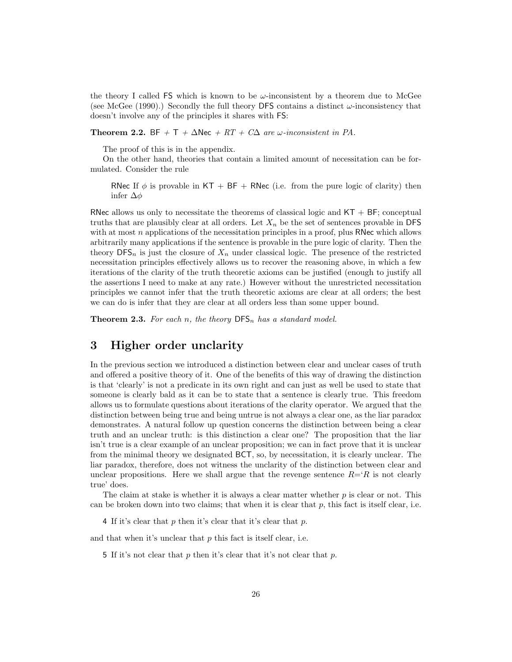the theory I called FS which is known to be  $\omega$ -inconsistent by a theorem due to McGee (see McGee (1990).) Secondly the full theory DFS contains a distinct  $\omega$ -inconsistency that doesn't involve any of the principles it shares with FS:

Theorem 2.2. BF + T +  $\Delta$ Nec + RT +  $C\Delta$  are  $\omega$ -inconsistent in PA.

The proof of this is in the appendix.

On the other hand, theories that contain a limited amount of necessitation can be formulated. Consider the rule

RNec If  $\phi$  is provable in KT + BF + RNec (i.e. from the pure logic of clarity) then infer  $\Delta\phi$ 

RNec allows us only to necessitate the theorems of classical logic and  $KT + BF$ ; conceptual truths that are plausibly clear at all orders. Let  $X_n$  be the set of sentences provable in DFS with at most n applications of the necessitation principles in a proof, plus RNec which allows arbitrarily many applications if the sentence is provable in the pure logic of clarity. Then the theory  $\mathsf{DFS}_n$  is just the closure of  $X_n$  under classical logic. The presence of the restricted necessitation principles effectively allows us to recover the reasoning above, in which a few iterations of the clarity of the truth theoretic axioms can be justified (enough to justify all the assertions I need to make at any rate.) However without the unrestricted necessitation principles we cannot infer that the truth theoretic axioms are clear at all orders; the best we can do is infer that they are clear at all orders less than some upper bound.

**Theorem 2.3.** For each n, the theory  $\mathsf{DFS}_n$  has a standard model.

# 3 Higher order unclarity

In the previous section we introduced a distinction between clear and unclear cases of truth and offered a positive theory of it. One of the benefits of this way of drawing the distinction is that 'clearly' is not a predicate in its own right and can just as well be used to state that someone is clearly bald as it can be to state that a sentence is clearly true. This freedom allows us to formulate questions about iterations of the clarity operator. We argued that the distinction between being true and being untrue is not always a clear one, as the liar paradox demonstrates. A natural follow up question concerns the distinction between being a clear truth and an unclear truth: is this distinction a clear one? The proposition that the liar isn't true is a clear example of an unclear proposition; we can in fact prove that it is unclear from the minimal theory we designated BCT, so, by necessitation, it is clearly unclear. The liar paradox, therefore, does not witness the unclarity of the distinction between clear and unclear propositions. Here we shall argue that the revenge sentence  $R = R$  is not clearly true' does.

The claim at stake is whether it is always a clear matter whether  $p$  is clear or not. This can be broken down into two claims; that when it is clear that  $p$ , this fact is itself clear, i.e.

4 If it's clear that  $p$  then it's clear that it's clear that  $p$ .

and that when it's unclear that  $p$  this fact is itself clear, i.e.

5 If it's not clear that  $p$  then it's clear that it's not clear that  $p$ .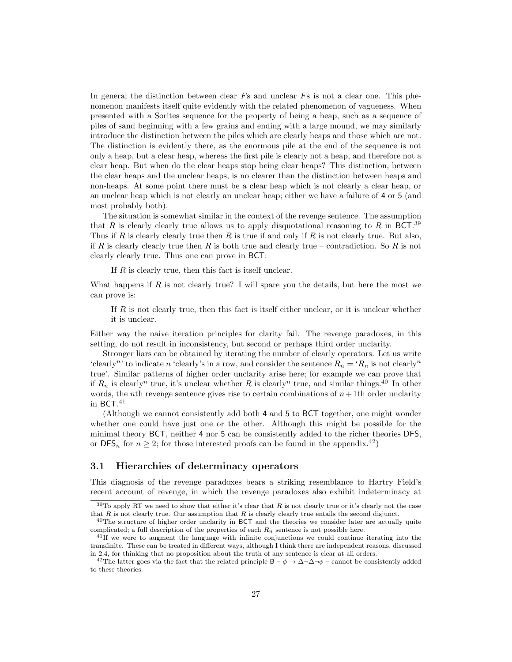In general the distinction between clear Fs and unclear Fs is not a clear one. This phenomenon manifests itself quite evidently with the related phenomenon of vagueness. When presented with a Sorites sequence for the property of being a heap, such as a sequence of piles of sand beginning with a few grains and ending with a large mound, we may similarly introduce the distinction between the piles which are clearly heaps and those which are not. The distinction is evidently there, as the enormous pile at the end of the sequence is not only a heap, but a clear heap, whereas the first pile is clearly not a heap, and therefore not a clear heap. But when do the clear heaps stop being clear heaps? This distinction, between the clear heaps and the unclear heaps, is no clearer than the distinction between heaps and non-heaps. At some point there must be a clear heap which is not clearly a clear heap, or an unclear heap which is not clearly an unclear heap; either we have a failure of 4 or 5 (and most probably both).

The situation is somewhat similar in the context of the revenge sentence. The assumption that R is clearly clearly true allows us to apply disquotational reasoning to R in BCT.<sup>39</sup> Thus if R is clearly clearly true then R is true if and only if R is not clearly true. But also, if R is clearly clearly true then R is both true and clearly true – contradiction. So R is not clearly clearly true. Thus one can prove in BCT:

If  $R$  is clearly true, then this fact is itself unclear.

What happens if  $R$  is not clearly true? I will spare you the details, but here the most we can prove is:

If  $R$  is not clearly true, then this fact is itself either unclear, or it is unclear whether it is unclear.

Either way the naive iteration principles for clarity fail. The revenge paradoxes, in this setting, do not result in inconsistency, but second or perhaps third order unclarity.

Stronger liars can be obtained by iterating the number of clearly operators. Let us write 'clearlyn' to indicate n 'clearly's in a row, and consider the sentence  $R_n = R_n$  is not clearlyn true'. Similar patterns of higher order unclarity arise here; for example we can prove that if  $R_n$  is clearly<sup>n</sup> true, it's unclear whether R is clearly<sup>n</sup> true, and similar things.<sup>40</sup> In other words, the *n*th revenge sentence gives rise to certain combinations of  $n+1$ th order unclarity in BCT. $^{41}$ 

(Although we cannot consistently add both 4 and 5 to BCT together, one might wonder whether one could have just one or the other. Although this might be possible for the minimal theory BCT, neither 4 nor 5 can be consistently added to the richer theories DFS, or  $\mathsf{DFS}_n$  for  $n \geq 2$ ; for those interested proofs can be found in the appendix.<sup>42</sup>)

### 3.1 Hierarchies of determinacy operators

This diagnosis of the revenge paradoxes bears a striking resemblance to Hartry Field's recent account of revenge, in which the revenge paradoxes also exhibit indeterminacy at

 $39$ To apply RT we need to show that either it's clear that R is not clearly true or it's clearly not the case that  $R$  is not clearly true. Our assumption that  $R$  is clearly clearly true entails the second disjunct.

 $40$ The structure of higher order unclarity in BCT and the theories we consider later are actually quite complicated; a full description of the properties of each  $R_n$  sentence is not possible here.

<sup>&</sup>lt;sup>41</sup>If we were to augment the language with infinite conjunctions we could continue iterating into the transfinite. These can be treated in different ways, although I think there are independent reasons, discussed in 2.4, for thinking that no proposition about the truth of any sentence is clear at all orders.

<sup>&</sup>lt;sup>42</sup>The latter goes via the fact that the related principle B –  $\phi \to \Delta \neg \Delta \neg \phi$  – cannot be consistently added to these theories.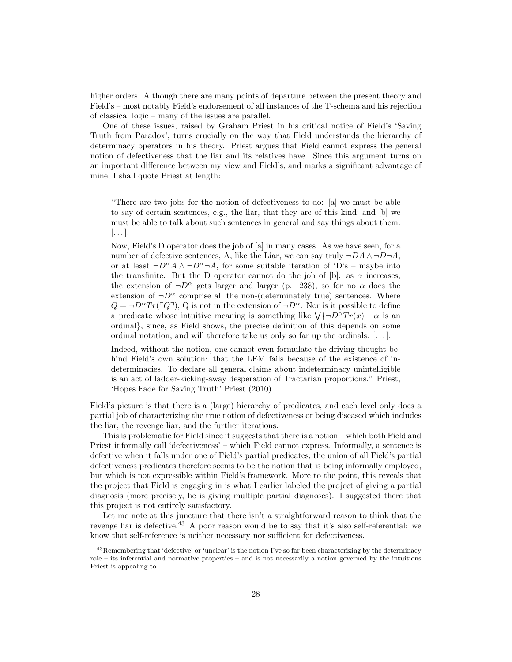higher orders. Although there are many points of departure between the present theory and Field's – most notably Field's endorsement of all instances of the T-schema and his rejection of classical logic – many of the issues are parallel.

One of these issues, raised by Graham Priest in his critical notice of Field's 'Saving Truth from Paradox', turns crucially on the way that Field understands the hierarchy of determinacy operators in his theory. Priest argues that Field cannot express the general notion of defectiveness that the liar and its relatives have. Since this argument turns on an important difference between my view and Field's, and marks a significant advantage of mine, I shall quote Priest at length:

"There are two jobs for the notion of defectiveness to do: [a] we must be able to say of certain sentences, e.g., the liar, that they are of this kind; and [b] we must be able to talk about such sentences in general and say things about them.  $[\ldots]$ .

Now, Field's D operator does the job of [a] in many cases. As we have seen, for a number of defective sentences, A, like the Liar, we can say truly  $\neg DA \wedge \neg D \neg A$ , or at least  $\neg D^{\alpha}A \wedge \neg D^{\alpha} \neg A$ , for some suitable iteration of 'D's – maybe into the transfinite. But the D operator cannot do the job of [b]: as  $\alpha$  increases, the extension of  $\neg D^{\alpha}$  gets larger and larger (p. 238), so for no  $\alpha$  does the extension of  $\neg D^{\alpha}$  comprise all the non-(determinately true) sentences. Where  $Q = \neg D^{\alpha}Tr(\ulcorner Q\urcorner)$ , Q is not in the extension of  $\neg D^{\alpha}$ . Nor is it possible to define a predicate whose intuitive meaning is something like  $\sqrt{\{-D^{\alpha}Tr(x) \mid \alpha \text{ is an}\}}$ ordinal}, since, as Field shows, the precise definition of this depends on some ordinal notation, and will therefore take us only so far up the ordinals. [. . . ].

Indeed, without the notion, one cannot even formulate the driving thought behind Field's own solution: that the LEM fails because of the existence of indeterminacies. To declare all general claims about indeterminacy unintelligible is an act of ladder-kicking-away desperation of Tractarian proportions." Priest, 'Hopes Fade for Saving Truth' Priest (2010)

Field's picture is that there is a (large) hierarchy of predicates, and each level only does a partial job of characterizing the true notion of defectiveness or being diseased which includes the liar, the revenge liar, and the further iterations.

This is problematic for Field since it suggests that there is a notion – which both Field and Priest informally call 'defectiveness' – which Field cannot express. Informally, a sentence is defective when it falls under one of Field's partial predicates; the union of all Field's partial defectiveness predicates therefore seems to be the notion that is being informally employed, but which is not expressible within Field's framework. More to the point, this reveals that the project that Field is engaging in is what I earlier labeled the project of giving a partial diagnosis (more precisely, he is giving multiple partial diagnoses). I suggested there that this project is not entirely satisfactory.

Let me note at this juncture that there isn't a straightforward reason to think that the revenge liar is defective.<sup>43</sup> A poor reason would be to say that it's also self-referential: we know that self-reference is neither necessary nor sufficient for defectiveness.

<sup>43</sup>Remembering that 'defective' or 'unclear' is the notion I've so far been characterizing by the determinacy role – its inferential and normative properties – and is not necessarily a notion governed by the intuitions Priest is appealing to.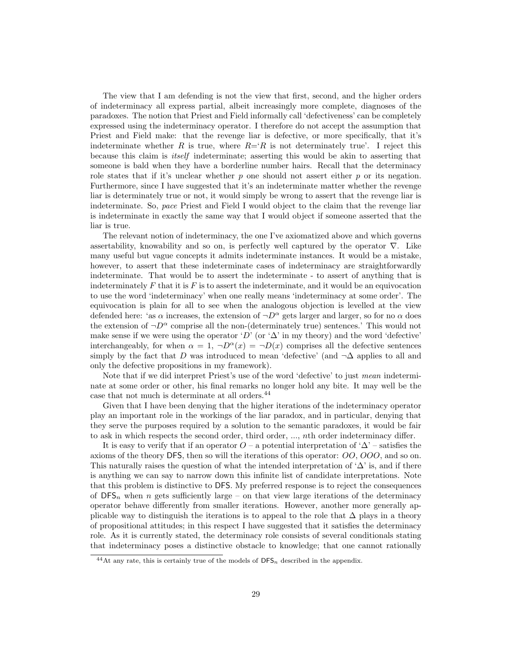The view that I am defending is not the view that first, second, and the higher orders of indeterminacy all express partial, albeit increasingly more complete, diagnoses of the paradoxes. The notion that Priest and Field informally call 'defectiveness' can be completely expressed using the indeterminacy operator. I therefore do not accept the assumption that Priest and Field make: that the revenge liar is defective, or more specifically, that it's indeterminate whether R is true, where  $R = R$  is not determinately true'. I reject this because this claim is itself indeterminate; asserting this would be akin to asserting that someone is bald when they have a borderline number hairs. Recall that the determinacy role states that if it's unclear whether  $p$  one should not assert either  $p$  or its negation. Furthermore, since I have suggested that it's an indeterminate matter whether the revenge liar is determinately true or not, it would simply be wrong to assert that the revenge liar is indeterminate. So, pace Priest and Field I would object to the claim that the revenge liar is indeterminate in exactly the same way that I would object if someone asserted that the liar is true.

The relevant notion of indeterminacy, the one I've axiomatized above and which governs assertability, knowability and so on, is perfectly well captured by the operator  $\nabla$ . Like many useful but vague concepts it admits indeterminate instances. It would be a mistake, however, to assert that these indeterminate cases of indeterminacy are straightforwardly indeterminate. That would be to assert the indeterminate - to assert of anything that is indeterminately  $F$  that it is  $F$  is to assert the indeterminate, and it would be an equivocation to use the word 'indeterminacy' when one really means 'indeterminacy at some order'. The equivocation is plain for all to see when the analogous objection is levelled at the view defended here: 'as  $\alpha$  increases, the extension of  $\neg D^{\alpha}$  gets larger and larger, so for no  $\alpha$  does the extension of  $\neg D^{\alpha}$  comprise all the non-(determinately true) sentences.' This would not make sense if we were using the operator 'D' (or ' $\Delta$ ' in my theory) and the word 'defective' interchangeably, for when  $\alpha = 1$ ,  $\neg D^{\alpha}(x) = \neg D(x)$  comprises all the defective sentences simply by the fact that D was introduced to mean 'defective' (and  $\neg \Delta$  applies to all and only the defective propositions in my framework).

Note that if we did interpret Priest's use of the word 'defective' to just mean indeterminate at some order or other, his final remarks no longer hold any bite. It may well be the case that not much is determinate at all orders.<sup>44</sup>

Given that I have been denying that the higher iterations of the indeterminacy operator play an important role in the workings of the liar paradox, and in particular, denying that they serve the purposes required by a solution to the semantic paradoxes, it would be fair to ask in which respects the second order, third order, ..., nth order indeterminacy differ.

It is easy to verify that if an operator  $O - a$  potential interpretation of ' $\Delta'$  – satisfies the axioms of the theory DFS, then so will the iterations of this operator: OO, OOO, and so on. This naturally raises the question of what the intended interpretation of  $\Delta'$  is, and if there is anything we can say to narrow down this infinite list of candidate interpretations. Note that this problem is distinctive to DFS. My preferred response is to reject the consequences of  $\text{DFS}_n$  when n gets sufficiently large – on that view large iterations of the determinacy operator behave differently from smaller iterations. However, another more generally applicable way to distinguish the iterations is to appeal to the role that  $\Delta$  plays in a theory of propositional attitudes; in this respect I have suggested that it satisfies the determinacy role. As it is currently stated, the determinacy role consists of several conditionals stating that indeterminacy poses a distinctive obstacle to knowledge; that one cannot rationally

<sup>&</sup>lt;sup>44</sup>At any rate, this is certainly true of the models of  $\mathsf{DFS}_n$  described in the appendix.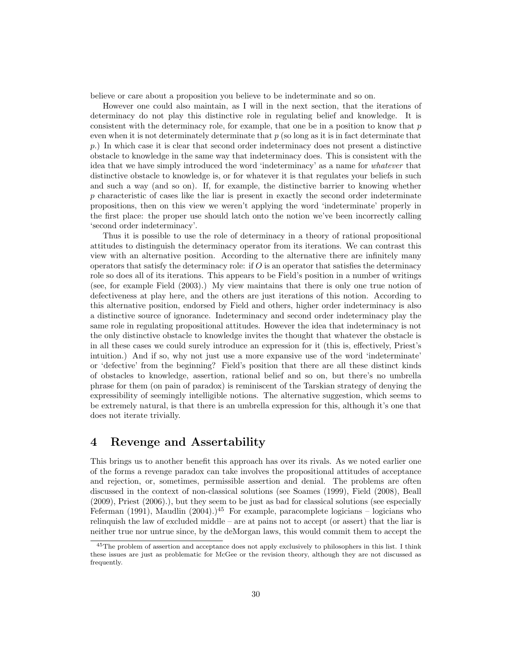believe or care about a proposition you believe to be indeterminate and so on.

However one could also maintain, as I will in the next section, that the iterations of determinacy do not play this distinctive role in regulating belief and knowledge. It is consistent with the determinacy role, for example, that one be in a position to know that  $p$ even when it is not determinately determinate that  $p$  (so long as it is in fact determinate that p.) In which case it is clear that second order indeterminacy does not present a distinctive obstacle to knowledge in the same way that indeterminacy does. This is consistent with the idea that we have simply introduced the word 'indeterminacy' as a name for *whatever* that distinctive obstacle to knowledge is, or for whatever it is that regulates your beliefs in such and such a way (and so on). If, for example, the distinctive barrier to knowing whether p characteristic of cases like the liar is present in exactly the second order indeterminate propositions, then on this view we weren't applying the word 'indeterminate' properly in the first place: the proper use should latch onto the notion we've been incorrectly calling 'second order indeterminacy'.

Thus it is possible to use the role of determinacy in a theory of rational propositional attitudes to distinguish the determinacy operator from its iterations. We can contrast this view with an alternative position. According to the alternative there are infinitely many operators that satisfy the determinacy role: if  $O$  is an operator that satisfies the determinacy role so does all of its iterations. This appears to be Field's position in a number of writings (see, for example Field (2003).) My view maintains that there is only one true notion of defectiveness at play here, and the others are just iterations of this notion. According to this alternative position, endorsed by Field and others, higher order indeterminacy is also a distinctive source of ignorance. Indeterminacy and second order indeterminacy play the same role in regulating propositional attitudes. However the idea that indeterminacy is not the only distinctive obstacle to knowledge invites the thought that whatever the obstacle is in all these cases we could surely introduce an expression for it (this is, effectively, Priest's intuition.) And if so, why not just use a more expansive use of the word 'indeterminate' or 'defective' from the beginning? Field's position that there are all these distinct kinds of obstacles to knowledge, assertion, rational belief and so on, but there's no umbrella phrase for them (on pain of paradox) is reminiscent of the Tarskian strategy of denying the expressibility of seemingly intelligible notions. The alternative suggestion, which seems to be extremely natural, is that there is an umbrella expression for this, although it's one that does not iterate trivially.

### 4 Revenge and Assertability

This brings us to another benefit this approach has over its rivals. As we noted earlier one of the forms a revenge paradox can take involves the propositional attitudes of acceptance and rejection, or, sometimes, permissible assertion and denial. The problems are often discussed in the context of non-classical solutions (see Soames (1999), Field (2008), Beall (2009), Priest (2006).), but they seem to be just as bad for classical solutions (see especially Feferman (1991), Maudlin (2004).<sup>145</sup> For example, paracomplete logicians – logicians who relinquish the law of excluded middle – are at pains not to accept (or assert) that the liar is neither true nor untrue since, by the deMorgan laws, this would commit them to accept the

<sup>45</sup>The problem of assertion and acceptance does not apply exclusively to philosophers in this list. I think these issues are just as problematic for McGee or the revision theory, although they are not discussed as frequently.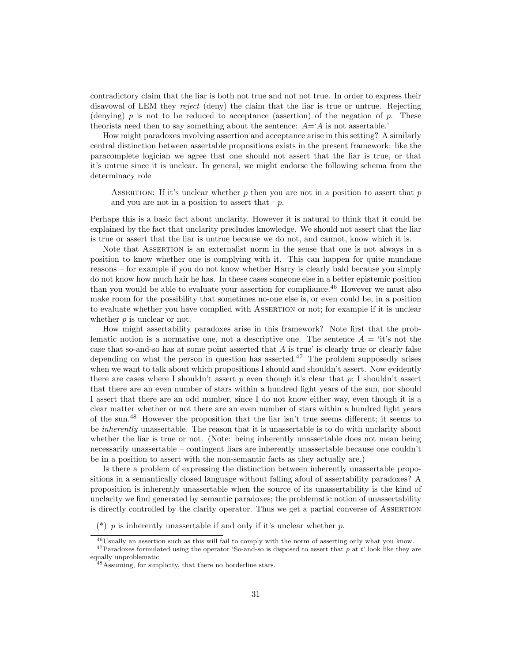contradictory claim that the liar is both not true and not not true. In order to express their disavowal of LEM they reject (deny) the claim that the liar is true or untrue. Rejecting (denying) p is not to be reduced to acceptance (assertion) of the negation of p. These theorists need then to say something about the sentence:  $A = A$  is not assertable.

How might paradoxes involving assertion and acceptance arise in this setting? A similarly central distinction between assertable propositions exists in the present framework: like the paracomplete logician we agree that one should not assert that the liar is true, or that it's untrue since it is unclear. In general, we might endorse the following schema from the determinacy role

ASSERTION: If it's unclear whether  $p$  then you are not in a position to assert that  $p$ and you are not in a position to assert that  $\neg p$ .

Perhaps this is a basic fact about unclarity. However it is natural to think that it could be explained by the fact that unclarity precludes knowledge. We should not assert that the liar is true or assert that the liar is untrue because we do not, and cannot, know which it is.

Note that Assertion is an externalist norm in the sense that one is not always in a position to know whether one is complying with it. This can happen for quite mundane reasons – for example if you do not know whether Harry is clearly bald because you simply do not know how much hair he has. In these cases someone else in a better epistemic position than you would be able to evaluate your assertion for compliance.<sup>46</sup> However we must also make room for the possibility that sometimes no-one else is, or even could be, in a position to evaluate whether you have complied with Assertion or not; for example if it is unclear whether  $p$  is unclear or not.

How might assertability paradoxes arise in this framework? Note first that the problematic notion is a normative one, not a descriptive one. The sentence  $A = 'it's$  not the case that so-and-so has at some point asserted that  $A$  is true' is clearly true or clearly false depending on what the person in question has asserted.<sup>47</sup> The problem supposedly arises when we want to talk about which propositions I should and shouldn't assert. Now evidently there are cases where I shouldn't assert p even though it's clear that p; I shouldn't assert that there are an even number of stars within a hundred light years of the sun, nor should I assert that there are an odd number, since I do not know either way, even though it is a clear matter whether or not there are an even number of stars within a hundred light years of the sun.<sup>48</sup> However the proposition that the liar isn't true seems different; it seems to be *inherently* unassertable. The reason that it is unassertable is to do with unclarity about whether the liar is true or not. (Note: being inherently unassertable does not mean being necessarily unassertable – contingent liars are inherently unassertable because one couldn't be in a position to assert with the non-semantic facts as they actually are.)

Is there a problem of expressing the distinction between inherently unassertable propositions in a semantically closed language without falling afoul of assertability paradoxes? A proposition is inherently unassertable when the source of its unassertability is the kind of unclarity we find generated by semantic paradoxes; the problematic notion of unassertability is directly controlled by the clarity operator. Thus we get a partial converse of Assertion

(\*)  $p$  is inherently unassertable if and only if it's unclear whether  $p$ .

<sup>46</sup>Usually an assertion such as this will fail to comply with the norm of asserting only what you know.

<sup>&</sup>lt;sup>47</sup>Paradoxes formulated using the operator 'So-and-so is disposed to assert that p at t' look like they are equally unproblematic.

<sup>48</sup> Assuming, for simplicity, that there no borderline stars.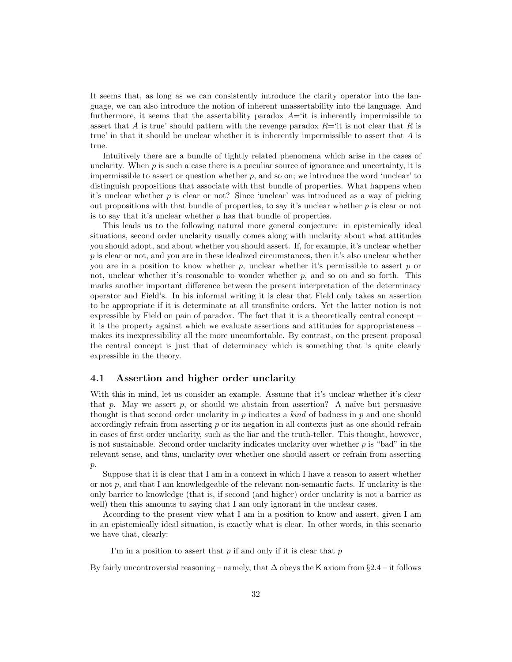It seems that, as long as we can consistently introduce the clarity operator into the language, we can also introduce the notion of inherent unassertability into the language. And furthermore, it seems that the assertability paradox  $A=$  it is inherently impermissible to assert that A is true' should pattern with the revenge paradox  $R=$ "it is not clear that R is true' in that it should be unclear whether it is inherently impermissible to assert that  $A$  is true.

Intuitively there are a bundle of tightly related phenomena which arise in the cases of unclarity. When  $p$  is such a case there is a peculiar source of ignorance and uncertainty, it is impermissible to assert or question whether  $p$ , and so on; we introduce the word 'unclear' to distinguish propositions that associate with that bundle of properties. What happens when it's unclear whether  $p$  is clear or not? Since 'unclear' was introduced as a way of picking out propositions with that bundle of properties, to say it's unclear whether  $p$  is clear or not is to say that it's unclear whether  $p$  has that bundle of properties.

This leads us to the following natural more general conjecture: in epistemically ideal situations, second order unclarity usually comes along with unclarity about what attitudes you should adopt, and about whether you should assert. If, for example, it's unclear whether  $p$  is clear or not, and you are in these idealized circumstances, then it's also unclear whether you are in a position to know whether  $p$ , unclear whether it's permissible to assert  $p$  or not, unclear whether it's reasonable to wonder whether  $p$ , and so on and so forth. This marks another important difference between the present interpretation of the determinacy operator and Field's. In his informal writing it is clear that Field only takes an assertion to be appropriate if it is determinate at all transfinite orders. Yet the latter notion is not expressible by Field on pain of paradox. The fact that it is a theoretically central concept – it is the property against which we evaluate assertions and attitudes for appropriateness – makes its inexpressibility all the more uncomfortable. By contrast, on the present proposal the central concept is just that of determinacy which is something that is quite clearly expressible in the theory.

### 4.1 Assertion and higher order unclarity

With this in mind, let us consider an example. Assume that it's unclear whether it's clear that p. May we assert p, or should we abstain from assertion? A naïve but persuasive thought is that second order unclarity in  $p$  indicates a kind of badness in  $p$  and one should accordingly refrain from asserting  $p$  or its negation in all contexts just as one should refrain in cases of first order unclarity, such as the liar and the truth-teller. This thought, however, is not sustainable. Second order unclarity indicates unclarity over whether  $p$  is "bad" in the relevant sense, and thus, unclarity over whether one should assert or refrain from asserting p.

Suppose that it is clear that I am in a context in which I have a reason to assert whether or not  $p$ , and that I am knowledgeable of the relevant non-semantic facts. If unclarity is the only barrier to knowledge (that is, if second (and higher) order unclarity is not a barrier as well) then this amounts to saying that I am only ignorant in the unclear cases.

According to the present view what I am in a position to know and assert, given I am in an epistemically ideal situation, is exactly what is clear. In other words, in this scenario we have that, clearly:

I'm in a position to assert that  $p$  if and only if it is clear that  $p$ 

By fairly uncontroversial reasoning – namely, that  $\Delta$  obeys the K axiom from §2.4 – it follows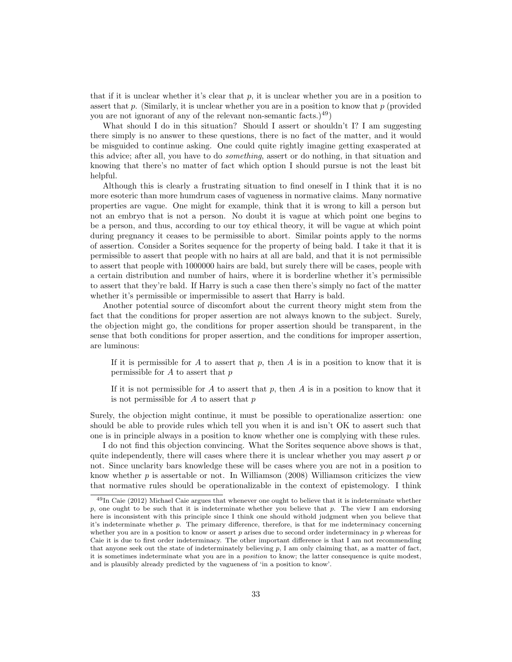that if it is unclear whether it's clear that  $p$ , it is unclear whether you are in a position to assert that p. (Similarly, it is unclear whether you are in a position to know that p (provided you are not ignorant of any of the relevant non-semantic facts. $(49)$ 

What should I do in this situation? Should I assert or shouldn't I? I am suggesting there simply is no answer to these questions, there is no fact of the matter, and it would be misguided to continue asking. One could quite rightly imagine getting exasperated at this advice; after all, you have to do something, assert or do nothing, in that situation and knowing that there's no matter of fact which option I should pursue is not the least bit helpful.

Although this is clearly a frustrating situation to find oneself in I think that it is no more esoteric than more humdrum cases of vagueness in normative claims. Many normative properties are vague. One might for example, think that it is wrong to kill a person but not an embryo that is not a person. No doubt it is vague at which point one begins to be a person, and thus, according to our toy ethical theory, it will be vague at which point during pregnancy it ceases to be permissible to abort. Similar points apply to the norms of assertion. Consider a Sorites sequence for the property of being bald. I take it that it is permissible to assert that people with no hairs at all are bald, and that it is not permissible to assert that people with 1000000 hairs are bald, but surely there will be cases, people with a certain distribution and number of hairs, where it is borderline whether it's permissible to assert that they're bald. If Harry is such a case then there's simply no fact of the matter whether it's permissible or impermissible to assert that Harry is bald.

Another potential source of discomfort about the current theory might stem from the fact that the conditions for proper assertion are not always known to the subject. Surely, the objection might go, the conditions for proper assertion should be transparent, in the sense that both conditions for proper assertion, and the conditions for improper assertion, are luminous:

If it is permissible for A to assert that p, then A is in a position to know that it is permissible for  $A$  to assert that  $p$ 

If it is not permissible for A to assert that p, then A is in a position to know that it is not permissible for  $A$  to assert that  $p$ 

Surely, the objection might continue, it must be possible to operationalize assertion: one should be able to provide rules which tell you when it is and isn't OK to assert such that one is in principle always in a position to know whether one is complying with these rules.

I do not find this objection convincing. What the Sorites sequence above shows is that, quite independently, there will cases where there it is unclear whether you may assert  $p$  or not. Since unclarity bars knowledge these will be cases where you are not in a position to know whether  $p$  is assertable or not. In Williamson (2008) Williamson criticizes the view that normative rules should be operationalizable in the context of epistemology. I think

<sup>&</sup>lt;sup>49</sup>In Caie (2012) Michael Caie argues that whenever one ought to believe that it is indeterminate whether  $p$ , one ought to be such that it is indeterminate whether you believe that  $p$ . The view I am endorsing here is inconsistent with this principle since I think one should withold judgment when you believe that it's indeterminate whether p. The primary difference, therefore, is that for me indeterminacy concerning whether you are in a position to know or assert  $p$  arises due to second order indeterminacy in  $p$  whereas for Caie it is due to first order indeterminacy. The other important difference is that I am not recommending that anyone seek out the state of indeterminately believing p, I am only claiming that, as a matter of fact, it is sometimes indeterminate what you are in a position to know; the latter consequence is quite modest, and is plausibly already predicted by the vagueness of 'in a position to know'.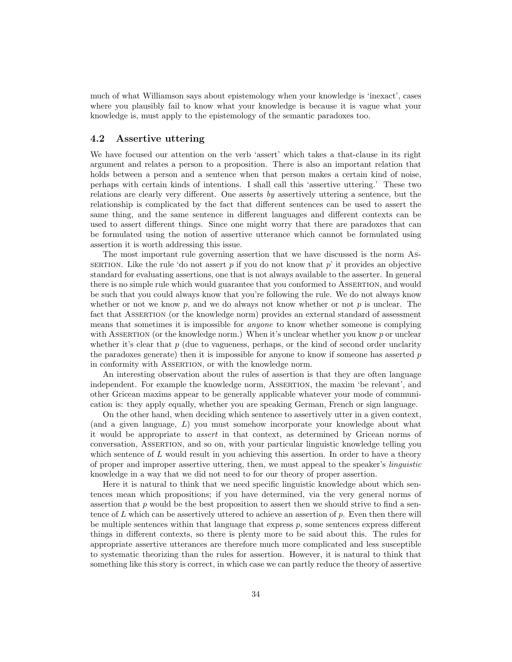much of what Williamson says about epistemology when your knowledge is 'inexact', cases where you plausibly fail to know what your knowledge is because it is vague what your knowledge is, must apply to the epistemology of the semantic paradoxes too.

### 4.2 Assertive uttering

We have focused our attention on the verb 'assert' which takes a that-clause in its right argument and relates a person to a proposition. There is also an important relation that holds between a person and a sentence when that person makes a certain kind of noise, perhaps with certain kinds of intentions. I shall call this 'assertive uttering.' These two relations are clearly very different. One asserts by assertively uttering a sentence, but the relationship is complicated by the fact that different sentences can be used to assert the same thing, and the same sentence in different languages and different contexts can be used to assert different things. Since one might worry that there are paradoxes that can be formulated using the notion of assertive utterance which cannot be formulated using assertion it is worth addressing this issue.

The most important rule governing assertion that we have discussed is the norm Assertion. Like the rule 'do not assert  $p$  if you do not know that  $p'$  it provides an objective standard for evaluating assertions, one that is not always available to the asserter. In general there is no simple rule which would guarantee that you conformed to Assertion, and would be such that you could always know that you're following the rule. We do not always know whether or not we know  $p$ , and we do always not know whether or not  $p$  is unclear. The fact that Assertion (or the knowledge norm) provides an external standard of assessment means that sometimes it is impossible for anyone to know whether someone is complying with ASSERTION (or the knowledge norm.) When it's unclear whether you know  $p$  or unclear whether it's clear that  $p$  (due to vagueness, perhaps, or the kind of second order unclarity the paradoxes generate) then it is impossible for anyone to know if someone has asserted  $p$ in conformity with Assertion, or with the knowledge norm.

An interesting observation about the rules of assertion is that they are often language independent. For example the knowledge norm, Assertion, the maxim 'be relevant', and other Gricean maxims appear to be generally applicable whatever your mode of communication is: they apply equally, whether you are speaking German, French or sign language.

On the other hand, when deciding which sentence to assertively utter in a given context, (and a given language, L) you must somehow incorporate your knowledge about what it would be appropriate to assert in that context, as determined by Gricean norms of conversation, Assertion, and so on, with your particular linguistic knowledge telling you which sentence of  $L$  would result in you achieving this assertion. In order to have a theory of proper and improper assertive uttering, then, we must appeal to the speaker's linguistic knowledge in a way that we did not need to for our theory of proper assertion.

Here it is natural to think that we need specific linguistic knowledge about which sentences mean which propositions; if you have determined, via the very general norms of assertion that  $p$  would be the best proposition to assert then we should strive to find a sentence of  $L$  which can be assertively uttered to achieve an assertion of  $p$ . Even then there will be multiple sentences within that language that express  $p$ , some sentences express different things in different contexts, so there is plenty more to be said about this. The rules for appropriate assertive utterances are therefore much more complicated and less susceptible to systematic theorizing than the rules for assertion. However, it is natural to think that something like this story is correct, in which case we can partly reduce the theory of assertive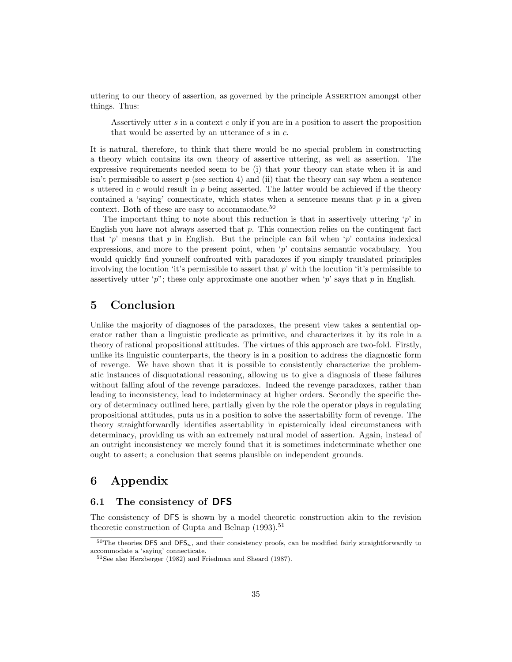uttering to our theory of assertion, as governed by the principle Assertion amongst other things. Thus:

Assertively utter s in a context c only if you are in a position to assert the proposition that would be asserted by an utterance of  $s$  in  $c$ .

It is natural, therefore, to think that there would be no special problem in constructing a theory which contains its own theory of assertive uttering, as well as assertion. The expressive requirements needed seem to be (i) that your theory can state when it is and isn't permissible to assert  $p$  (see section 4) and (ii) that the theory can say when a sentence s uttered in c would result in  $p$  being asserted. The latter would be achieved if the theory contained a 'saying' connecticate, which states when a sentence means that  $p$  in a given context. Both of these are easy to accommodate.<sup>50</sup>

The important thing to note about this reduction is that in assertively uttering  $\hat{p}$  in English you have not always asserted that  $p$ . This connection relies on the contingent fact that 'p' means that p in English. But the principle can fail when 'p' contains indexical expressions, and more to the present point, when  $p'$  contains semantic vocabulary. You would quickly find yourself confronted with paradoxes if you simply translated principles involving the locution 'it's permissible to assert that  $p'$  with the locution 'it's permissible to assertively utter 'p''; these only approximate one another when 'p' says that p in English.

# 5 Conclusion

Unlike the majority of diagnoses of the paradoxes, the present view takes a sentential operator rather than a linguistic predicate as primitive, and characterizes it by its role in a theory of rational propositional attitudes. The virtues of this approach are two-fold. Firstly, unlike its linguistic counterparts, the theory is in a position to address the diagnostic form of revenge. We have shown that it is possible to consistently characterize the problematic instances of disquotational reasoning, allowing us to give a diagnosis of these failures without falling afoul of the revenge paradoxes. Indeed the revenge paradoxes, rather than leading to inconsistency, lead to indeterminacy at higher orders. Secondly the specific theory of determinacy outlined here, partially given by the role the operator plays in regulating propositional attitudes, puts us in a position to solve the assertability form of revenge. The theory straightforwardly identifies assertability in epistemically ideal circumstances with determinacy, providing us with an extremely natural model of assertion. Again, instead of an outright inconsistency we merely found that it is sometimes indeterminate whether one ought to assert; a conclusion that seems plausible on independent grounds.

# 6 Appendix

### 6.1 The consistency of DFS

The consistency of DFS is shown by a model theoretic construction akin to the revision theoretic construction of Gupta and Belnap  $(1993).<sup>51</sup>$ 

 $50$ The theories DFS and DFS<sub>n</sub>, and their consistency proofs, can be modified fairly straightforwardly to accommodate a 'saying' connecticate.

<sup>51</sup>See also Herzberger (1982) and Friedman and Sheard (1987).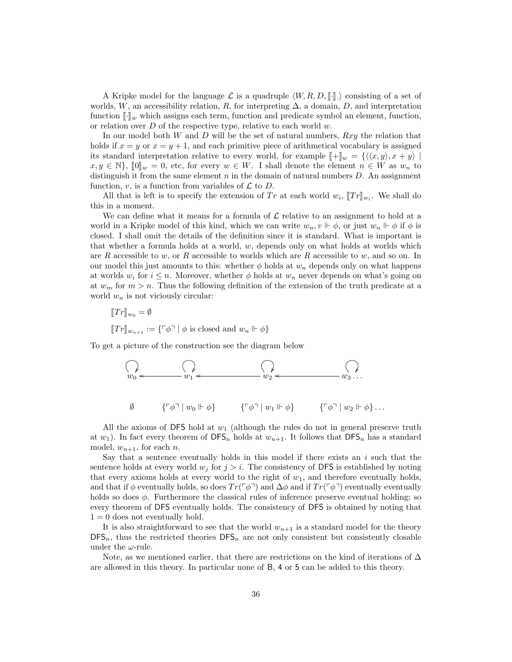A Kripke model for the language  $\mathcal L$  is a quadruple  $\langle W, R, D, \lVert \cdot \rVert$ . consisting of a set of worlds, W, an accessibility relation, R, for interpreting  $\Delta$ , a domain, D, and interpretation function  $\llbracket \cdot \rrbracket_w$  which assigns each term, function and predicate symbol an element, function, or relation over  $D$  of the respective type, relative to each world  $w$ .

In our model both W and D will be the set of natural numbers,  $Rxy$  the relation that holds if  $x = y$  or  $x = y + 1$ , and each primitive piece of arithmetical vocabulary is assigned its standard interpretation relative to every world, for example  $\llbracket + \rrbracket_w = \{ \langle \langle x, y \rangle, x + y \rangle \mid$  $x, y \in \mathbb{N}$ ,  $[0]_w = 0$ , etc, for every  $w \in W$ . I shall denote the element  $n \in W$  as  $w_n$  to distinguish it from the same element  $n$  in the domain of natural numbers  $D$ . An assignment function,  $v$ , is a function from variables of  $\mathcal L$  to  $D$ .

All that is left is to specify the extension of  $Tr$  at each world  $w_i$ ,  $[Tr]_{w_i}$ . We shall do this in a moment.

We can define what it means for a formula of  $\mathcal L$  relative to an assignment to hold at a world in a Kripke model of this kind, which we can write  $w_n, v \Vdash \phi$ , or just  $w_n \Vdash \phi$  if  $\phi$  is closed. I shall omit the details of the definition since it is standard. What is important is that whether a formula holds at a world, w, depends only on what holds at worlds which are R accessible to w, or R accessible to worlds which are R accessible to w, and so on. In our model this just amounts to this: whether  $\phi$  holds at  $w_n$  depends only on what happens at worlds  $w_i$  for  $i \leq n$ . Moreover, whether  $\phi$  holds at  $w_n$  never depends on what's going on at  $w_m$  for  $m > n$ . Thus the following definition of the extension of the truth predicate at a world  $w_n$  is not viciously circular:

$$
[[Tr]]_{w_0} = \emptyset
$$
  

$$
[[Tr]]_{w_{n+1}} := {\ulcorner \phi \urcorner \mid \phi \text{ is closed and } w_n \Vdash \phi}
$$

To get a picture of the construction see the diagram below



All the axioms of DFS hold at  $w_1$  (although the rules do not in general preserve truth at  $w_1$ ). In fact every theorem of  $\mathsf{DFS}_n$  holds at  $w_{n+1}$ . It follows that  $\mathsf{DFS}_n$  has a standard model,  $w_{n+1}$ , for each n.

Say that a sentence eventually holds in this model if there exists an  $i$  such that the sentence holds at every world  $w_j$  for  $j > i$ . The consistency of DFS is established by noting that every axioms holds at every world to the right of  $w_1$ , and therefore eventually holds, and that if  $\phi$  eventually holds, so does  $Tr(\ulcorner \phi \urcorner)$  and  $\Delta \phi$  and if  $Tr(\ulcorner \phi \urcorner)$  eventually eventually holds so does  $\phi$ . Furthermore the classical rules of inference preserve eventual holding; so every theorem of DFS eventually holds. The consistency of DFS is obtained by noting that  $1 = 0$  does not eventually hold.

It is also straightforward to see that the world  $w_{n+1}$  is a standard model for the theory  $DFS_n$ , thus the restricted theories  $DFS_n$  are not only consistent but consistently closable under the  $\omega$ -rule.

Note, as we mentioned earlier, that there are restrictions on the kind of iterations of  $\Delta$ are allowed in this theory. In particular none of B, 4 or 5 can be added to this theory.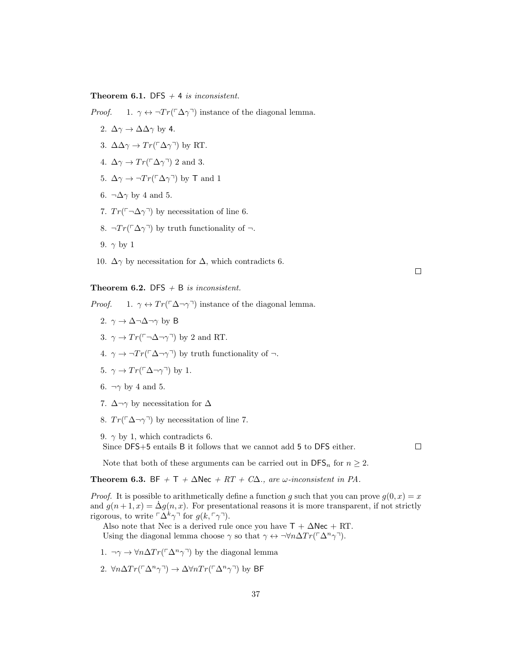### **Theorem 6.1.** DFS  $+$  4 is inconsistent.

*Proof.* 1.  $\gamma \leftrightarrow \neg Tr(\Box \gamma \Box)$  instance of the diagonal lemma.

- 2.  $\Delta \gamma \rightarrow \Delta \Delta \gamma$  by 4.
- 3.  $\Delta \Delta \gamma \rightarrow Tr(\Box \Delta \gamma)$  by RT.
- 4.  $\Delta \gamma \rightarrow Tr(\Box \gamma \Box) 2$  and 3.
- 5.  $\Delta \gamma \rightarrow \neg Tr(\Box \gamma \Box)$  by T and 1
- 6.  $\neg \Delta \gamma$  by 4 and 5.
- 7.  $Tr(\ulcorner \neg \Delta \gamma \urcorner)$  by necessitation of line 6.
- 8. ¬ $Tr(\ulcorner \Delta \gamma \urcorner)$  by truth functionality of ¬.
- 9.  $\gamma$  by 1
- 10.  $\Delta \gamma$  by necessitation for  $\Delta$ , which contradicts 6.

### **Theorem 6.2.** DFS  $+$  B is inconsistent.

*Proof.* 1.  $\gamma \leftrightarrow Tr(\Box \neg \gamma \neg)$  instance of the diagonal lemma.

- 2.  $\gamma \to \Delta \neg \Delta \neg \gamma$  by B
- 3.  $\gamma \to Tr(\Box \Delta \neg \gamma \Box)$  by 2 and RT.
- 4.  $\gamma \to \neg Tr(\Box \neg \gamma \neg)$  by truth functionality of  $\neg$ .
- 5.  $\gamma \to Tr(\Gamma \Delta \neg \gamma^{\neg} )$  by 1.
- 6.  $\neg \gamma$  by 4 and 5.
- 7.  $\Delta \neg \gamma$  by necessitation for  $\Delta$
- 8.  $Tr(\ulcorner \Delta \rightarrow \gamma \urcorner)$  by necessitation of line 7.
- 9.  $\gamma$  by 1, which contradicts 6. Since DFS+5 entails B it follows that we cannot add 5 to DFS either.

Note that both of these arguments can be carried out in  $\mathsf{DFS}_n$  for  $n \geq 2$ .

Theorem 6.3. BF + T +  $\Delta$ Nec + RT +  $C\Delta$ ., are  $\omega$ -inconsistent in PA.

*Proof.* It is possible to arithmetically define a function g such that you can prove  $g(0, x) = x$ and  $g(n+1, x) = \Delta g(n, x)$ . For presentational reasons it is more transparent, if not strictly rigorous, to write  $\ulcorner \Delta^k \gamma \urcorner$  for  $g(k, \ulcorner \gamma \urcorner).$ 

Also note that Nec is a derived rule once you have  $T + \Delta$ Nec + RT. Using the diagonal lemma choose  $\gamma$  so that  $\gamma \leftrightarrow \neg \forall n \Delta Tr(\Box^n \gamma \Box)$ .

- 1.  $\neg \gamma \rightarrow \forall n \Delta Tr(\Box^n \gamma \Box)$  by the diagonal lemma
- 2.  $\forall n \Delta Tr(\Box^n \gamma \Box) \rightarrow \Delta \forall n Tr(\Box^n \gamma \Box)$  by BF

 $\Box$ 

 $\Box$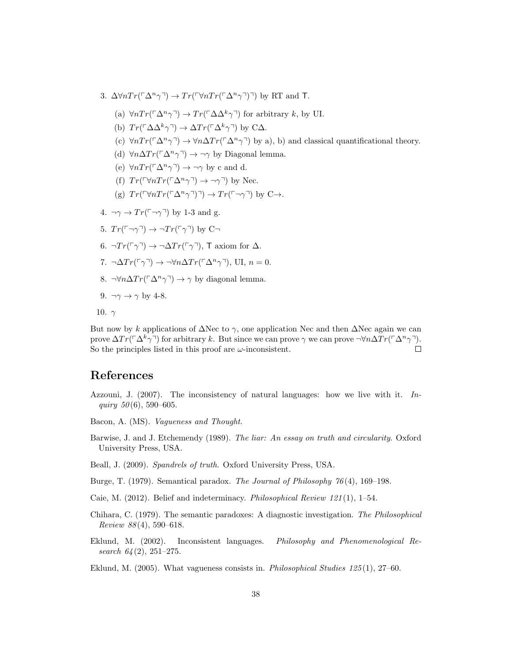- 3.  $\Delta \forall n Tr(\ulcorner \Delta^n \gamma \urcorner) \rightarrow Tr(\ulcorner \forall n Tr(\ulcorner \Delta^n \gamma \urcorner) \urcorner)$  by RT and T.
	- (a)  $\forall n Tr(\ulcorner \Delta^n \gamma \urcorner) \rightarrow Tr(\ulcorner \Delta \Delta^k \gamma \urcorner)$  for arbitrary k, by UI.
	- (b)  $Tr(\ulcorner \Delta \Delta^k \gamma \urcorner) \rightarrow \Delta Tr(\ulcorner \Delta^k \gamma \urcorner)$  by C $\Delta$ .
	- (c)  $\forall n Tr(\ulcorner \Delta^n \gamma \urcorner) \rightarrow \forall n \Delta Tr(\ulcorner \Delta^n \gamma \urcorner)$  by a), b) and classical quantificational theory.
	- (d)  $\forall n \Delta Tr(\Delta^n \gamma \rightarrow \neg \gamma)$  by Diagonal lemma.
	- (e)  $\forall n Tr(\ulcorner \Delta^n \gamma \urcorner) \rightarrow \neg \gamma$  by c and d.
	- (f)  $Tr(\ulcorner \forall n Tr(\ulcorner \Delta^n \gamma \urcorner) \rightarrow \neg \gamma \urcorner)$  by Nec.
	- (g)  $Tr(\ulcorner \forall n Tr(\ulcorner \Delta^n \gamma \urcorner) \urcorner) \rightarrow Tr(\ulcorner \neg \gamma \urcorner)$  by  $C \rightarrow$ .
- 4.  $\neg \gamma \rightarrow Tr(\Box \gamma \Box)$  by 1-3 and g.
- 5.  $Tr(\Box \gamma \Box) \rightarrow \neg Tr(\Box \gamma \Box)$  by C $\neg$
- 6.  $\neg Tr(\neg \gamma \neg \rightarrow \neg \Delta Tr(\neg \gamma \neg \gamma)$ , T axiom for  $\Delta$ .
- 7.  $\neg \Delta Tr(\ulcorner \gamma \urcorner) \rightarrow \neg \forall n \Delta Tr(\ulcorner \Delta^n \gamma \urcorner), \text{UI}, n = 0.$
- 8. ¬∀n $\Delta Tr(\Delta^n \gamma) \rightarrow \gamma$  by diagonal lemma.
- 9.  $\neg \gamma \rightarrow \gamma$  by 4-8.
- 10.  $\gamma$

But now by k applications of  $\Delta$ Nec to  $\gamma$ , one application Nec and then  $\Delta$ Nec again we can prove  $\Delta Tr(\Delta^k \gamma)$  for arbitrary k. But since we can prove  $\gamma$  we can prove  $\neg \forall n \Delta Tr(\Delta^n \gamma)$ . So the principles listed in this proof are  $\omega$ -inconsistent.  $\Box$ 

### References

- Azzouni, J. (2007). The inconsistency of natural languages: how we live with it. Inquiry  $50(6)$ , 590-605.
- Bacon, A. (MS). Vagueness and Thought.
- Barwise, J. and J. Etchemendy (1989). The liar: An essay on truth and circularity. Oxford University Press, USA.
- Beall, J. (2009). Spandrels of truth. Oxford University Press, USA.
- Burge, T. (1979). Semantical paradox. The Journal of Philosophy 76 (4), 169–198.
- Caie, M. (2012). Belief and indeterminacy. Philosophical Review 121 (1), 1–54.
- Chihara, C. (1979). The semantic paradoxes: A diagnostic investigation. The Philosophical Review  $88(4)$ , 590-618.
- Eklund, M. (2002). Inconsistent languages. Philosophy and Phenomenological Research  $64(2)$ , 251–275.
- Eklund, M. (2005). What vagueness consists in. Philosophical Studies 125 (1), 27–60.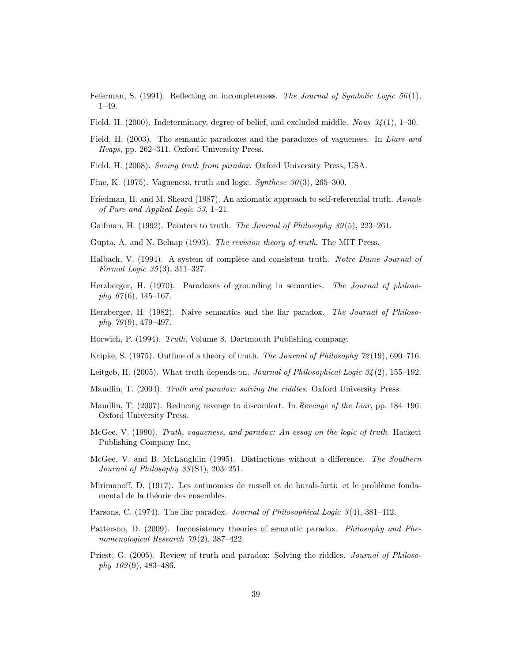Feferman, S. (1991). Reflecting on incompleteness. The Journal of Symbolic Logic  $56(1)$ , 1–49.

- Field, H. (2000). Indeterminacy, degree of belief, and excluded middle. Nous  $34(1)$ , 1–30.
- Field, H. (2003). The semantic paradoxes and the paradoxes of vagueness. In Liars and Heaps, pp. 262–311. Oxford University Press.
- Field, H. (2008). Saving truth from paradox. Oxford University Press, USA.
- Fine, K. (1975). Vagueness, truth and logic. Synthese  $30(3)$ , 265–300.
- Friedman, H. and M. Sheard (1987). An axiomatic approach to self-referential truth. Annals of Pure and Applied Logic 33, 1–21.
- Gaifman, H. (1992). Pointers to truth. The Journal of Philosophy  $89(5)$ , 223–261.
- Gupta, A. and N. Belnap (1993). The revision theory of truth. The MIT Press.
- Halbach, V. (1994). A system of complete and consistent truth. Notre Dame Journal of Formal Logic 35 (3), 311–327.
- Herzberger, H. (1970). Paradoxes of grounding in semantics. The Journal of philosophy  $67(6)$ , 145–167.
- Herzberger, H. (1982). Naive semantics and the liar paradox. The Journal of Philosophy  $79(9)$ , 479–497.
- Horwich, P. (1994). Truth, Volume 8. Dartmouth Publishing company.
- Kripke, S. (1975). Outline of a theory of truth. The Journal of Philosophy 72 (19), 690–716.
- Leitgeb, H. (2005). What truth depends on. Journal of Philosophical Logic  $34(2)$ , 155–192.
- Maudlin, T. (2004). Truth and paradox: solving the riddles. Oxford University Press.
- Maudlin, T. (2007). Reducing revenge to discomfort. In Revenge of the Liar, pp. 184–196. Oxford University Press.
- McGee, V. (1990). Truth, vagueness, and paradox: An essay on the logic of truth. Hackett Publishing Company Inc.
- McGee, V. and B. McLaughlin (1995). Distinctions without a difference. The Southern Journal of Philosophy 33(S1), 203-251.
- Mirimanoff, D. (1917). Les antinomies de russell et de burali-forti: et le problème fondamental de la théorie des ensembles.
- Parsons, C. (1974). The liar paradox. *Journal of Philosophical Logic 3(4)*, 381–412.
- Patterson, D. (2009). Inconsistency theories of semantic paradox. Philosophy and Phenomenological Research  $79(2)$ , 387-422.
- Priest, G. (2005). Review of truth and paradox: Solving the riddles. Journal of Philosophy  $102(9)$ , 483-486.